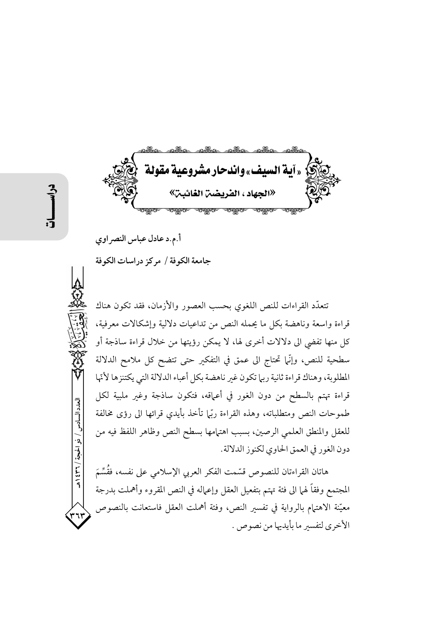stad de loc «آية السيف» واندحار مشروعية مقولة «الحهاد ، الفريضين الغائ

أ.م.د عادل عباس النصراوي

جامعة الكوفة / مركز دراسات الكوفة

تتعدَّد القراءات للنص اللغوي بحسب العصور والأزمان، فقد تكون هناك قراءة واسعة وناهضة بكل ما يحمله النص من تداعيات دلالية وإشكالات معرفية، كل منها تفضي الى دلالات أخرى لها، لا يمكن رؤيتها من خلال قراءة ساذجة أو سطحية للنص، وإنَّما تحتاج الى عمق في التفكير حتى تتضح كل ملامح الدلالة المطلوبة، وهناك قراءة ثانية ربها تكون غير ناهضة بكل أعباء الدلالة التي يكتنزها لأنّها قراءة تهتم بالسطح من دون الغور في أعماقه، فتكون ساذجة وغير ملبية لكل طموحات النص ومتطلباته، وهذه القراءة ربَّل تأخذ بأيدى قرائها الى رؤى مخالفة للعقل والمنطق العلمى الرصين، بسبب اهتمامها بسطح النص وظاهر اللفظ فيه من دون الغور في العمق الحاوي لكنوز الدلالة.

هاتان القراءتان للنصوص قسّمت الفكر العربي الإسلامي على نفسه، فقُسِّمَ المجتمع وفقاً لهما الى فئة تهتم بتفعيل العقل وإعماله في النص المقروء وأهملت بدرجة معيّنة الاهتمام بالرواية في تفسير النص، وفئة أهملت العقل فاستعانت بالنصوص الأخرى لتفسير ما بأيديها من نصوص .

العدد السادس / ذو الحجة / ٣٦ / ٤٣٩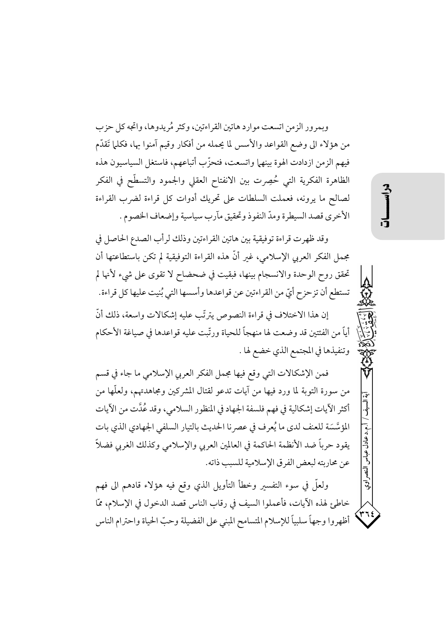وبمرور الزمن اتسعت موارد هاتين القراءتين، وكثر مُريدوها، واتجه كل حزب من هؤلاء الى وضع القواعد والأسس لما يحمله من أفكار وقيم آمنوا بها، فكلما تَقدّم فيهم الزمن ازدادت الهوة بينهما واتسعت، فتحزَّب أتباعهم، فاستغل السياسيون هذه الظاهرة الفكرية التي حُصِرت بين الانفتاح العقلي والجمود والتسطُّح في الفكر لصالح ما يرونه، فعملت السلطات على تحريك أدوات كل قراءة لضرب القراءة الأخرى قصد السيطرة ومدّ النفوذ وتحقيق مآرب سياسية وإضعاف الخصوم .

وقد ظهرت قراءة توفيقية بين هاتين القراءتين وذلك لرأب الصدع الحاصل في مجمل الفكر العربي الإسلامي، غبر أنَّ هذه القراءة التوفيقية لم تكن باستطاعتها أن تحقق روح الوحدة والانسجام بينها، فبقيت في ضحضاح لا تقوى على شيء لأنها لم تستطع أن تزحزح أيِّ من القراءتين عن قواعدها وأسسها التي بُنيت عليها كل قراءة.

إن هذا الاختلاف في قراءة النصوص يترتَّب عليه إشكالات واسعة، ذلك أنَّ أياً من الفئتين قد وضعت لها منهجاً للحياة ورتّبت عليه قواعدها في صياغة الأحكام وتنفيذها في المجتمع الذي خضع لها .

فمن الإشكالات التي وقع فيها مجمل الفكر العربي الإسلامي ما جاء في قسم من سورة التوبة لما ورد فيها من آيات تدعو لقتال المشركين ومجاهدتهم، ولعلَّها من أكثر الآيات إشكالية في فهم فلسفة الجهاد في المنظور السلامي، وقد عُدَّت من الآيات المؤسَّسَة للعنف لدى ما يُعرف في عصر نا الحديث بالتيار السلفى الجهادي الذي بات يقود حرباً ضد الأنظمة الحاكمة في العالمين العربي والإسلامي وكذلك الغربي فضلاً عن محاربته لبعض الفرق الإسلامية للسبب ذاته.

ولعلَّ في سوء التفسير وخطأ التأويل الذي وقع فيه هؤلاء قادهم الى فهم خاطئٍ لهذه الآيات، فأعملوا السيف في رقاب الناس قصد الدخول في الإسلام، ممَّا أظهروا وجهاً سلبياً للإسلام المتسامح المبنى على الفضيلة وحبّ الحياة واحترام الناس ر<br>ولي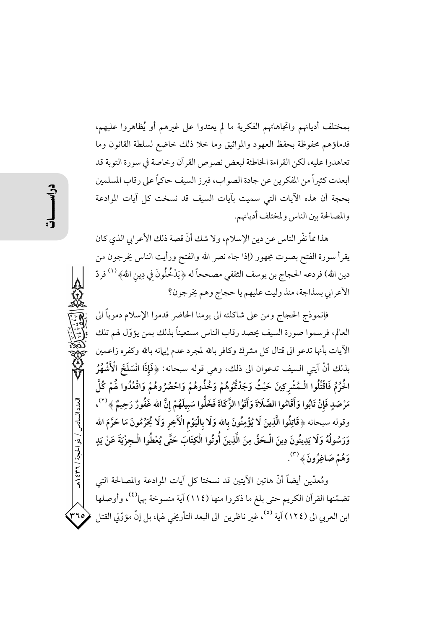بمختلف أديانهم واتجاهاتهم الفكرية ما لم يعتدوا على غيرهم أو يُظاهروا عليهم، فدماؤهم محفوظة بحفظ العهود والمواثيق وما خلا ذلك خاضع لسلطة القانون وما تعاهدوا عليه، لكن القراءة الخاطئة لبعض نصوص القرآن وخاصة في سورة التوبة قد أبعدت كثيراً من المفكرين عن جادة الصواب، فبرز السيف حاكماً على رقاب المسلمين بحجة أن هذه الآيات التي سميت بآيات السيف قد نسخت كل آيات الموادعة والمصالحة بين الناس ولمختلف أديانهم.

هذا ممَّ نفَّر الناس عن دين الإسلام، ولا شك أنَّ قصة ذلك الأعرابي الذي كان يقرأ سورة الفتح بصوت مجهور (إذا جاء نصر الله والفتح ورأيت الناس يخرجون من دين الله) فردعه الحجاج بن يوسف الثقفي مصححاً له ﴿ يَدْخُلُونَ فِي دِينِ اللهِ ۞ ( ' ) فردّ الأعرابي بسذاجة، منذ وليت عليهم يا حجاج وهم يخرجون؟

فإنموذج الحجاج ومن على شاكلته الى يومنا الحاضر قدموا الإسلام دموياً الى العالم، فرسموا صورة السيف يحصد رقاب الناس مستعيناً بذلك بمن يؤوّل لهم تلك الأيات بأنها تدعو الى قتال كل مشرك وكافر بالله لمجرد عدم إيهانه بالله وكفره زاعمين بذلك أنَّ آيتي السيف تدعوان الى ذلك، وهي قوله سبحانه: ﴿فَإِذَا انْسَلَخَ الْأَشْهُرُ الْحُرُمُ فَاقْتُلُوا الْـمُشْرِكِينَ حَيْثُ وَجَدْتُمُوهُمْ وَخُذُوهُمْ وَاحْصُرُوهُمْ وَاقْعُدُوا هُمْ كُلَّ مَرْصَدٍ فَإِنْ تَابُوا وَأَقَامُوا الصَّلَاةَ وَآتَوُا الزَّكَاةَ فَخَلُّوا سَبِيلَهُمْ إِنَّ الله غَفُورٌ رَحِيمٌ ﴾ <sup>(٢)</sup>، وقوله سبحانه ﴿قَاتِلُوا الَّذِينَ لَا يُؤْمِنُونَ بِالله وَلَا بِالْيَوْمِ الْآخِرِ وَلَا يُحَرِّمُونَ مَا حَرَّمَ الله وَرَسُولُهُ وَلَا يَدِينُونَ دِينَ الْحَقِّ مِنَ الَّذِينَ أُوتُوا الْكِتَابَ حَتَّى يُعْطُوا الْـجِزْيَةَ عَنْ يَدٍ وَهُمْ صَاغِرُونَ﴾  $\widetilde{\phantom{a}}^{\text{(*)}}$ .

ومُعدّين أيضاً أنّ هاتين الآيتين قد نسختا كل آيات الموادعة والمصالحة التي تضمّنها القرآن الكريم حتى بلغ ما ذكروا منها (١١٤) آية منسوخة بها<sup>(٤)</sup>، وأوصلها ابن العربي الى (١٢٤) آية <sup>(٥)</sup>، غير ناظرين الى البعد التأريخي لهما، بل إنّ مؤوّلي القتل

العدد السادس / ذو الحجة / ٣٦٦ / هـ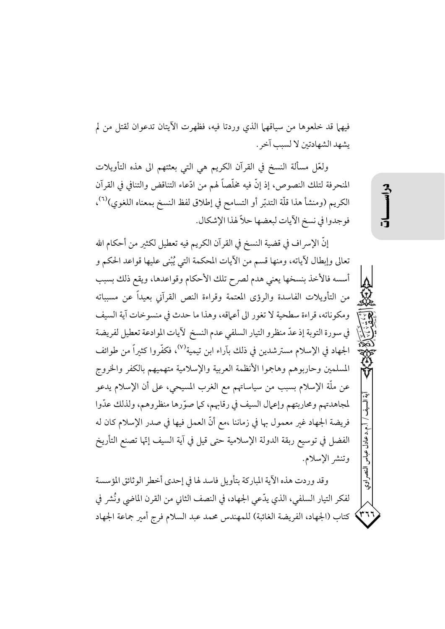فيهما قد خلعوها من سياقهما الذي وردتا فيه، فظهرت الآيتان تدعوان لقتل من لم يشهد الشهادتين لا لسبب آخر .

ولعَّل مسألة النسخ في القرآن الكريم هي التي بعثتهم الى هذه التأويلات المنحرفة لتلك النصوص، إذ إنَّ فيه مخلَّصاً لهم من ادَّعاء التناقض والتنافي في القرآن الكريم (ومنشأ هذا قلَّة التدبّر أو التسامح في إطلاق لفظ النسخ بمعناه اللغوي)<sup>(٦)</sup>، فوجدوا في نسخ الأيات لبعضها حلاً لهذا الإشكال.

إنَّ الإسراف في قضية النسخ في القرآن الكريم فيه تعطيل لكثير من أحكام الله تعالى وإبطال لأياته، ومنها قسم من الأيات المحكمة التي يُبْني عليها قواعد الحكم و أسسه فالأخذ بنسخها يعنى هدم لصرح تلك الأحكام وقواعدها، ويقع ذلك بسبب من التأويلات الفاسدة والرؤى المعتمة وقراءة النص القرآني بعيداً عن مسبباته ومكوناته، قراءة سطحية لا تغور الى أعماقه، وهذا ما حدث في منسوخات آية السيف في سورة التوبة إذ عدّ منظرو التيار السلفي عدم النسخ لأيات الموادعة تعطيل لفريضة الجهاد في الإسلام مسترشدين في ذلك بآراء ابن تيمية<sup>(٧)</sup>، فكفّروا كثيراً من طوائف المسلمين وحاربوهم وهاجموا الأنظمة العربية والإسلامية متهميهم بالكفر والخروج عن ملَّة الإسلام بسبب من سياساتهم مع الغرب المسيحي، على أن الإسلام يدعو لمجاهدتهم ومحاربتهم وإعمال السيف في رقابهم، كما صوَّرها منظروهم، ولذلك عدُّوا فريضة الجهاد غير معمول بها في زماننا ،مع أنَّ العمل فيها في صدر الإسلام كان له الفضل في توسيع ربقة الدولة الإسلامية حتى قيل في آية السيف إتّها تصنع التأريخ وتنشر الإسلام.

وقد وردت هذه الآية المباركة بتأويل فاسد لها في إحدى أخطر الوثائق المؤسسة لفكر التيار السلفي، الذي يدّعي الجهاد، في النصف الثاني من القرن الماضي ونُشر في كتاب (الجهاد، الفريضة الغائبة) للمهندس محمد عبد السلام فرج أمير جماعة الجهاد  $\left( \begin{smallmatrix} 2 & 3 \ 7 & 7 \end{smallmatrix} \right)$ 

.د عادل عباس

النج

ِ<br>ولي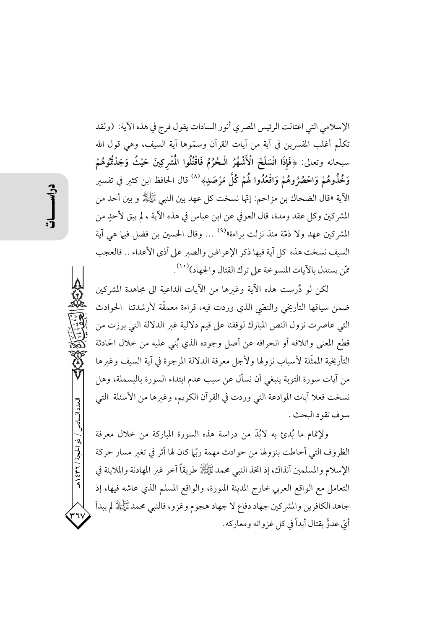الإسلامي التي اغتالت الرئيس المصري أنور السادات يقول فرج في هذه الآية: (ولقد تكلُّم أغلب المفسرين في آية من آيات القرآن وسمَّوها آية السيف، وهي قول الله سبحانه وتعالى: ﴿فَإِذَا انْسَلَخَ الْأَشْهُرُ الْحُرُمُ فَاقْتُلُوا الْمُشْرِكِينَ حَيْثُ وَجَدْتُمُوهُمْ وَخُذُوهُمْ وَاحْصُرُوهُمْ وَاقْعُدُوا هُمْ كُلَّ مَرْصَدٍ﴾ (^) قال الحافظ ابن كثير في تفسير الآية «قال الضحاك بن مزاحم: إنّها نسخت كل عهد بين النبي ﷺ و بين أحد من المشركين وكل عقد ومدة، قال العوفي عن ابن عباس في هذه الآية ، لم يبق لأحدٍ من المشركين عهد ولا ذمّة منذ نزلت براءة»°° … وقال الحسين بن فضل فيها هي آية السيف نسخت هذه كل آية فيها ذكر الإعراض والصبر على أذى الأعداء .. فالعجب مّن يستدل بالآيات المنسوخة على ترك القتال والجهاد)(١٠).

لكن لو دُرست هذه الآية وغيرها من الآيات الداعية الى مجاهدة المشركين ضمن سياقها التأريخي والنصّي الذي وردت فيه، قراءة معمقّة لأرشدتنا ۖ الحوادث التي عاصرت نزول النص المبارك لوقفنا على قيم دلالية غير الدلالة التي برزت من قطع المعنى واتلافه أو انحرافه عن أصل وجوده الذي بُني عليه من خلال الحادثة التأريخية الممثَّلة لأسباب نزولها ولأجل معرفة الدلالة المرجوة في آية السيف وغيرها من آيات سورة التوبة ينبغي أن نسأل عن سبب عدم ابتداء السورة بالبسملة، وهل نسخت فعلا آيات الموادعة التي وردت في القرآن الكريم، وغيرها من الأسئلة التي سوف تقود البحث .

ولإتمام ما بُدئٍ به لابُدَّ من دراسة هذه السورة المباركة من خلال معرفة الظروف التي أحاطت بنزولها من حوادث مهمة ربّي| كان لها أثر في تغير مسار حركة الإسلام والمسلمين آنذاك، إذ اتخذ النبي محمد ﷺ طريقاً آخر غير المهادنة والملاينة في التعامل مع الواقع العربي خارج المدينة المنورة، والواقع المسلم الذي عاشه فيها، إذ جاهد الكافرين والمشركين جهاد دفاع لا جهاد هجوم وغزو، فالنبي محمد ﷺ لم يبدأ أيِّ عدوًّ بقتال أبداً في كلِّ غزواته ومعاركه.

العدد السادس / ذو الحجة / ٣٦٦ هـ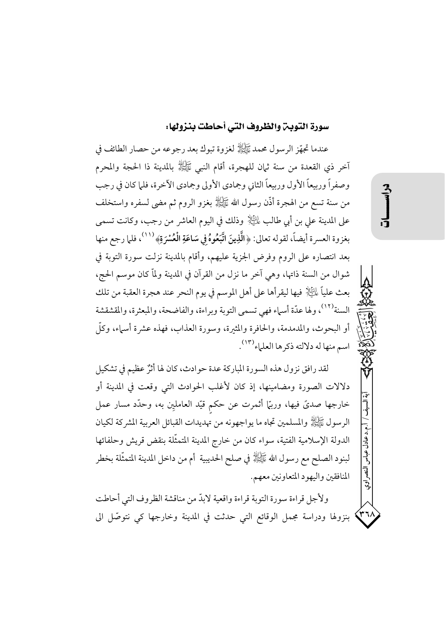### سورة التوبن والظروف التي أحاطت بنزولها:

عندما تجهِّز الرسول محمد ﷺ لغزوة تبوك بعد رجوعه من حصار الطائف في آخر ذي القعدة من سنة ثيان للهجرة، أقام النبي ﷺ بالمدينة ذا الحجة والمحرم وصفراً وربيعاً الأول وربيعاً الثاني وجمادي الأولى وجمادي الآخرة، فلما كان في رجب من سنة تسع من الهجرة أذَّن رسول الله ﷺ بغزو الروم ثم مضى لسفره واستخلف على المدينة على بن أبي طالب لِمُلِيًّا{ وذلك في اليوم العاشر من رجب، وكانت تسمى بغزوة العسرة أيضاً، لقوله تعالى: ﴿الَّذِينَ اتَّبَعُوهُ فِي سَاعَةِ الْعُسْرَةِ﴾ (١١٠)، فلما رجع منها بعد انتصاره على الروم وفرض الجزية عليهم، وأقام بالمدينة نزلت سورة التوبة في شوال من السنة ذاتها، وهي آخر ما نزل من القرآن في المدينة ولماّ كان موسم الحج، بعث علياً ءلثَّالِ فيها ليقرأها على أهل الموسم في يوم النحر عند هجرة العقبة من تلك السنة<sup>(١٢)</sup>، ولها عدّة أسهاء فهي تسمى التوبة وبراءة، والفاضحة، والمبعثرة، والمقشقشة أو البحوث، والمدمدمة، والحافرة والمثيرة، وسورة العذاب، فهذه عشرة أسباء، وكلَّ اسم منها له دلالته ذكرها العلماء (١٣).

لقد رافق نزول هذه السورة المباركة عدة حوادث، كان لها أثرٌ عظيم في تشكيل دلالات الصورة ومضامينها، إذ كان لأغلب الحوادث التي وقعت في المدينة أو خارجها صديٍّ فيها، ورببًّا أثمرت عن حكم قيَّد العامليِّن به، وحدَّد مسار عمل الرسول ﷺ والمسلمين تجاه ما يواجهونه من تهديدات القبائل العربية المشركة لكيان الدولة الإسلامية الفتية، سواء كان من خارج المدينة المتمثَّلة بنقض قريش وحلفائها لبنود الصلح مع رسول الله ﷺ في صلح الحديبية ۖ أم من داخل المدينة المتمثَّلة بخطرٍ المنافقين واليهود المتعاونين معهم.

ولأجل قراءة سورة التوبة قراءة واقعية لابدّ من مناقشة الظروف التي أحاطت بنزولها ودراسة مجمل الوقائع التي حدثت في المدينة وخارجها كي نتوصَّل الى

انی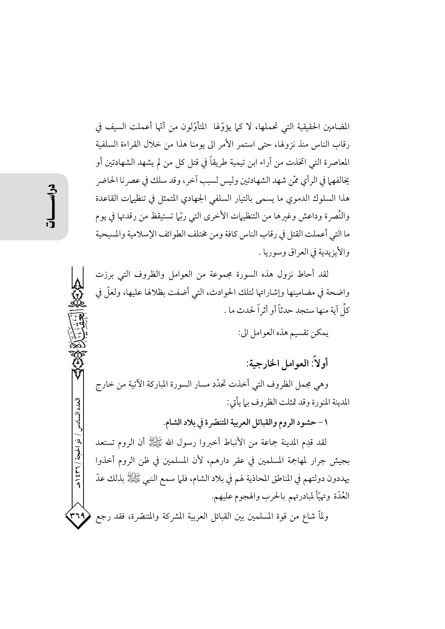المضامين الحقيقية التي تحملها، لا كيا يؤوِّلها ۖ المتأوِّلون من أنَّها أعملت السيف في رقاب الناس منذ نزولها، حتى استمر الأمر الى يومنا هذا من خلال القراءة السلفية المعاصرة التي اتخذت من آراء ابن تيمية طريقاً في قتل كل من لم يشهد الشهادتين أو يخالفهما في الرأي ممّن شهد الشهادتين وليس لسبب آخر ، وقد سلك في عصر نا الحاضر هذا السلوك الدموي ما يسمى بالتيار السلفى الجهادي المتمثل في تنظيهات القاعدة والنُصرة وداعش وغيرها من التنظيهات الأخرى التي ربّما تستيقظ من رقدتها في يوم ما التي أعملت القتل في رقاب الناس كافة ومن مختلف الطوائف الإسلامية والمسيحية والأيزيدية في العراق وسوريا .

لقد أحاط نزول هذه السورة مجموعة من العوامل والظروف التي برزت واضحة في مضامينها وإشاراتها لتلك الحوادث، التي أضفت بظلالها عليها، ولعلَّ في كلِّ آية منها ستجد حدثاً أو أثر اً لحدث ما .

يمكن تقسيم هذه العوامل الي:

أو لاً: العوامل الخارجية:

وهي مجمل الظروف التي أخذت تحدّد مسار السورة المباركة الآتية من خارج المدينة المنورة وقد تمثلت الظروف بيا يأتي:

١ - حشود الروم والقبائل العربية المتنصّرة في بلاد الشام.

لقد قدِم المدينة جماعة من الأنباط أخبروا رسول الله ﷺ أن الروم تستعد بجيش جرار لمهاجمة المسلمين في عقر دارهم، لأن المسلمين في ظن الروم أخذوا يهددون دولتهم في المناطق المحاذية لهم في بلاد الشام، فلما سمع النبي ﷺ بذلك عدّ العُدّة وتهيّأ لمبادرتهم بالحرب والهجوم عليهم.

ولماّ شاع من قوة المسلمين بين القبائل العربية المشركة والمتنصّرة، فقد رجع ۳۶۹)

العدد السادس / ذو الحجة / ٣٦ / ه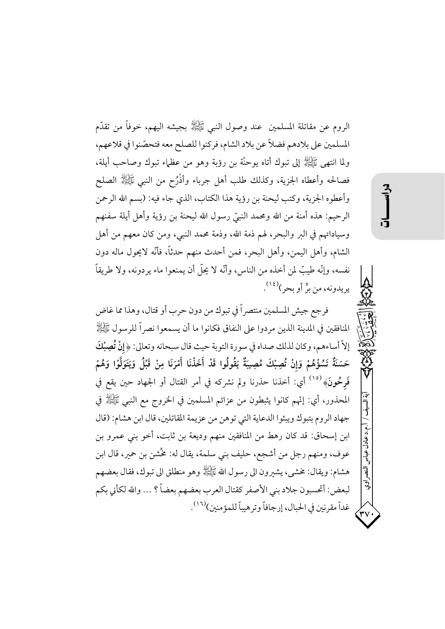الروم عن مقاتلة المسلمين ً عند وصول النبي ﷺ بجيشه اليهم، خوفاً من تقدَّم المسلمين على بلادهم فضلاً عن بلاد الشام، فركنوا للصلح معه فتحصّنوا في قلاعهم، ولما انتهى ﷺ إلى تبوك أتاه يوحنَّة بن رؤبة وهو من عظهاء تبوك وصاحب أيلة، فصالحه وأعطاه الجزية، وكذلك طلب أهل جرباء وأذْرُح من النبي ﷺ الصلح وأعطوه الجزية، وكتب ليحنة بن رؤية هذا الكتاب، الذي جاء فيه: (بسم الله الرحمن الرحيم: هذه أمنة من الله ومحمد النبيِّ رسول الله ليحنة بن رؤية وأهل أيلة سفنهم وسياداتهم في البر والبحر، لهم ذمة الله، وذمة محمد النبي، ومن كان معهم من أهل الشام، وأهل اليمن، وأهل البحر، فمن أحدث منهم حدثاً، فأنَّه لايحول ماله دون نفسه، وإنَّه طيبٌ لمن أخذه من الناس، وأنَّه لا يحلُّ أن يمنعوا ماء يردونه، ولا طريقاً يريدونه، من برٍّ أو بحر)<sup>(١٤)</sup>.

فرجع جيش المسلمين منتصر أ في تبوك من دون حرب أو قتال، وهذا مما غاض المنافقين في المدينة الذين مردوا على النفاق فكانوا ما أن يسمعوا نصراً للرسول ﷺ إلاَّ أساءهم، وكان لذلك صداه في سورة التوبة حيث قال سبحانه وتعالى: ﴿إِنْ تُصِبْكَ حَسَنَةٌ تَسُؤْهُمْ وَإِنْ تُصِبْكَ مُصِيبَةٌ يَقُولُوا قَدْ أَخَذْنَا أَمْرَنَا مِنْ قَبْلُ وَيَتَوَلَّوْا وَهُمْ فَرِحُونَ﴾ <sup>(١٥)</sup> أي: أخذنا حذرنا ولم نشركه في أمر القتال أو الجهاد حين يقع في المحذور، أي: إنَّهم كانوا يثبطون من عزائم المسلمين في الخروج مع النبي ﷺ في جهاد الروم بتبوك ويبثوا الدعاية التي توهن من عزيمة المقاتلين، قال ابن هشام: (قال ابن إسحاق: قد كان رهط من المنافقين منهم وديعة بن ثابت، أخو بني عمرو بن عوف، ومنهم رجل من أشجع، حليف بني سلمة، يقال له: مُحْشن بن حمير، قال ابن هشام: ويقال: مخشى، يشيرون الى رسول الله ﷺ وهو منطلق الى تبوك، فقال بعضهم لبعض: أتحسبون جلاد بني الأصفر كقتال العرب بعضهم بعضاً ؟ … والله لكأني بكم غداً مقرنين في الحبال، إرجافاً وترهيباً للمؤمنين)(١٦).

.م.د عادل عباس

النصبر Ŝ.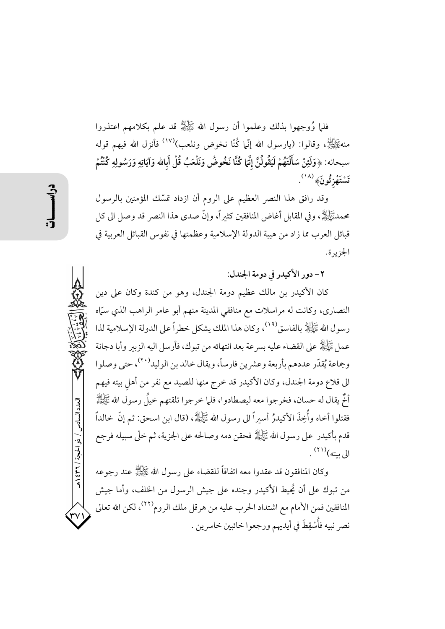فلما وُوجهوا بذلك وعلموا أن رسول الله ﷺ قد علم بكلامهم اعتذروا منهﷺ، وقالوا: (يارسول الله إنَّما كُنَّا نخوض ونلعب)<sup>(١٧)</sup> فأنزل الله فيهم قوله سبحانه: ﴿وَلَئِنْ سَأَلْتَهُمْ لَيَقُولُنَّ إِنَّمَا كُنَّا نَخُوضُ وَنَلْعَبُ قُلْ أَبِالله وَآيَاتِهِ وَرَسُولِهِ كُنْتُمْ تَسْتَهْزِئُونَ﴾ (١٨).

وقد رافق هذا النصر العظيم على الروم أن ازداد تمسّك المؤمنين بالرسول محمدﷺ، وفي المقابل أغاض المنافقين كثيراً، وإنَّ صدى هذا النصر قد وصل الى كل قبائل العرب مما زاد من هيبة الدولة الإسلامية وعظمتها في نفوس القبائل العربية في الجزيرة.

٢- دور الأكيدر في دومة الجندل:

كان الأكيدر بن مالك عظيم دومة الجندل، وهو من كندة وكان على دين النصاري، وكانت له مراسلات مع منافقي المدينة منهم أبو عامر الراهب الذي سمَّاه رسول الله ﷺ بالفاسق (١٩) وكان هذا الملك يشكل خطراً على الدولة الإسلامية لذا عمل عَيَّزَلِهُ على القضاء عليه بسر عة بعد انتهائه من تبوك، فأرسل اليه الزبير وأبا دجانة وجماعة يُقدّر عددهم بأربعة وعشرين فارساً، ويقال خالد بن الوليد<sup>(٢٠)</sup>، حتى وصلوا الى قلاع دومة الجندل، وكان الأكيدر قد خرج منها للصيد مع نفر من أهل بيته فيهم أُخٌر يقال له حسان، فخر جوا معه ليصطادوا، فلما خر جوا تلقتهم خيلٌ رسول الله ﷺ فقتلوا أخاه وأُخِذَ الأكيدرُ أسيراً الى رسول الله ﷺ، (قال ابن اسحق: ثم إنَّ خالداً قدم بأكيدر على رسول الله ﷺ فحقن دمه وصالحه على الجزية، ثم خلَّى سبيله فرجع الى بيته)(٢١) .

وكان المنافقون قد عقدوا معه اتفاقاً للقضاء على رسول الله ﷺ عند رجوعه من تبوك على أن يُحيط الأكيدر وجنده على جيش الرسول من الخلف، وأما جيش المنافقين فمن الأمام مع اشتداد الحرب عليه من هرقل ملك الروم<sup>(٢٢)</sup>، لكن الله تعالى نصر نبيه فأُسْقِطَ في أيديهم ورجعوا خائبين خاسرين .

العدد السادس / ذو الحجة / ٣٦٦ هـ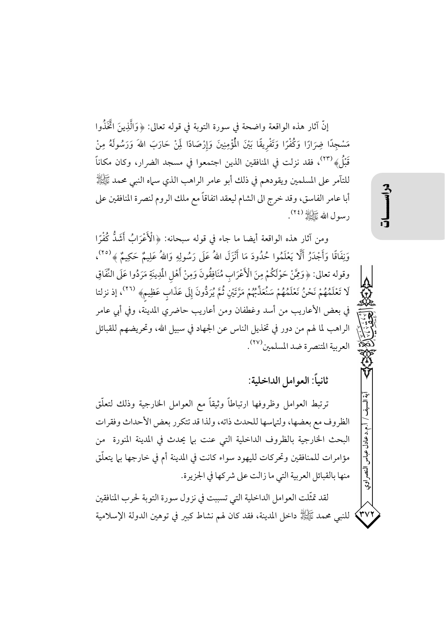إنَّ آثار هذه الواقعة واضحة في سورة التوبة في قوله تعالى: ﴿وَالَّذِينَ اتَّخَذُوا مَسْجِدًا ضِرَارًا وَكُفْرًا وَتَفْرِيقًا بَيْنَ الْمُؤْمِنِينَ وَإِرْصَادًا لَمِنْ حَارَبَ اللهَ وَرَسُولَهُ مِنْ قَبْلُ﴾ ```، فقد نزلت في المنافقين الذين اجتمعوا في مسجد الضرار، وكان مكاناً للتآمر على المسلمين ويقودهم في ذلك أبو عامر الراهب الذي سباه النبي محمد ﷺ أبا عامر الفاسق، وقد خرج الى الشام ليعقد اتفاقاً مع ملك الروم لنصرة المنافقين على رسول الله طَأَلِلَهُ (٢٤).

ومن آثار هذه الواقعة أيضا ما جاء في قوله سبحانه: ﴿الْأَعْرَابُ أَشَدُّ كُفْرًا وَنِفَاقًا وَأَجْدَرُ أَلَّا يَعْلَمُوا حُدُودَ مَا أَنْزَلَ اللهُ عَلَى رَسُولِهِ وَاللهُ عَلِيمٌ حَكِيمٌ ﴾ (٢٥)، وقوله تعالى: ﴿وَمِّنْ حَوْلَكُمْ مِنَ الْأَعْرَابِ مُنَافِقُونَ وَمِنْ أَهْلِ الْمُدِينَةِ مَرَدُوا عَلَى النِّفَاقِ لَا تَعْلَمُهُمْ نَحْنُ نَعْلَمُهُمْ سَنُعَذِّبُهُمْ مَرَّتَيْنِ ثُمَّ يُرَدُّونَ إِلَى عَذَابٍ عَظِيمٍ﴾ (٢٦)، إذ نزلتا في بعض الأعاريب من أسد وغطفان ومن أعاريب حاضري المدينة، وفي أبي عامر الراهب لما لهم من دور في تخذيل الناس عن الجهاد في سبيل الله، وتحريضهم للقبائل العربية المتنصرة ضد المسلمين (٢٧).

ثانياً: العوامل الداخلية:

ترتبط العوامل وظروفها ارتباطاً وثيقاً مع العوامل الخارجية وذلك لتعلُّق الظروف مع بعضها، ولتماسها للحدث ذاته، ولذا قد تتكرر بعض الأحداث وفقرات البحث الخارجية بالظروف الداخلية التي عنت بها يحدث في المدينة المنورة من مؤامرات للمنافقين وتحركات لليهود سواء كانت في المدينة أم في خارجها بها يتعلَّق منها بالقبائل العربية التي ما زالت على شركها في الجزيرة.

لقد تمثّلت العوامل الداخلية التي تسببت في نزول سورة التوبة لحرب المنافقين '٣٧') للنبي محمد ﷺ داخل المدينة، فقد كان لهم نشاط كبير في توهين الدولة الإسلامية

النهي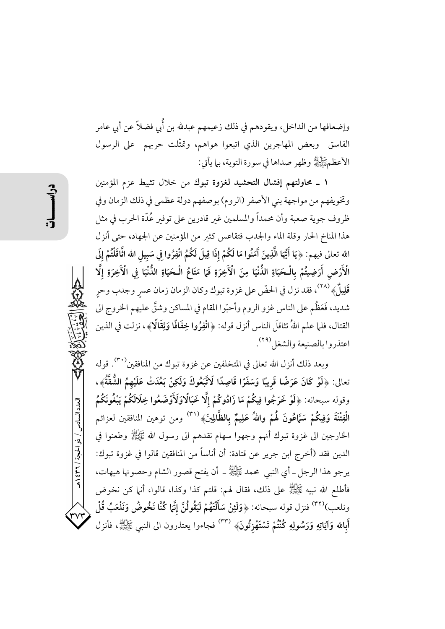وإضعافها من الداخل، ويقودهم في ذلك زعيمهم عبدلله بن أُبي فضلاً عن أبي عامر الفاسق وبعض المهاجرين الذي اتبعوا هواهم، وتمثّلت حربهم على الرسول الأعظمﷺ وظهر صداها في سورة التوبة، بما يأتي:

١ ـ محاولتهم إفشال التحشيد لغزوة تبوك من خلال تثبيط عزم المؤمنين وتخويفهم من مواجهة بني الأصفر (الروم) بوصفهم دولة عظمى في ذلك الزمان وفي ظروف جوية صعبة وأن محمداً والمسلمين غير قادرين على توفير عُدّة الحرب في مثل هذا المناخ الحار وقلة الماء والجدب فتقاعس كثير من المؤمنين عن الجهاد، حتى أنزل الله تعالى فيهم: ﴿يَا أَيُّهَا الَّذِينَ آَمَنُوا مَا لَكُمْ إِذَا قِيلَ لَكُمُ انْفِرُوا فِي سَبِيل الله اثَّاقَلْتُمْ إِلَى الْأَرْضِ أَرَضِيتُمْ بِالْحَيَاةِ الدُّنْيَا مِنَ الْآَخِرَةِ فَمَا مَتَاعُ الْحَيَاةِ الدُّنْيَا في الْآَخِرَةِ إلَّا قَلِيلٌ﴾ <sup>(٢٨)</sup>، فقد نزل في الحضّ على غزوة تبوك وكان الزمان زمان عسر وجدب وحر شديد، فَعَظُم على الناس غزو الروم وأحبّوا المقام في المساكن وشقَّ عليهم الخروج الى القتال، فلما علم اللهُ تثاقلَ الناس أنزل قوله: ﴿انْفِرُوا خِفَافًا وَثِقَالًا﴾، نزلت في الذين اعتذروا بالصنيعة والشغل (٢٩).

وبعد ذلك أنزل الله تعالى في المتخلفين عن غزوة تبوك من المنافقين'۳۰). قوله تعالى: ﴿لَوْ كَانَ عَرَضًا قَرِيبًا وَسَفَرًا قَاصِدًا لَاتَّبَعُوكَ وَلَكِنْ بَعُدَتْ عَلَيْهِمُ الشُّقَّةُ﴾، وقوله سبحانه: ﴿لَوْ خَرَجُوا فِيكُمْ مَا زَادُوكُمْ إِلَّا خَبَالًاوَلَأَوْضَعُوا خِلَالَكُمْ يَبْغُونَكُمُ الْفِتْنَةَ وَفِيكُمْ سَمَّاعُونَ لَهُمْ واللهُ عَلِيمٌ بِالظَّالِينَ﴾ <sup>(٣١)</sup> ومن توهين المنافقين لعزائم الخارجين الى غزوة تبوك أنهم وجهوا سهام نقدهم الى رسول الله ﷺ وطعنوا في الدين فقد (أخرج ابن جرير عن قتادة: أن أناساً من المنافقين قالوا في غزوة تبوك: يرجو هذا الرجل ــ أي النبي محمد ﷺ ــ أن يفتح قصور الشام وحصونها هيهات، فأطلع الله نبيه ﷺ على ذلك، فقال لهم: قلتم كذا وكذا، قالوا، أنها كن نخوض ونلعب)<sup>(٣٢)</sup> فنزل قوله سبحانه: ﴿وَلَئِنْ سَأَلْتَهُمْ لَيَقُولُنَّ إِنَّهَا كُنَّا نَخُوضُ وَنَلْعَبُ قُلْ أَبِالله وَآيَاتِهِ وَرَسُولِهِ كُنْتُمْ تَسْتَهْزِئُونَ» <sup>(٣٣)</sup> فجاءوا يعتذرون الى النبي ﷺ، فأنزل

العدد السادس / ذو الحجة / ٣٦٤ هـ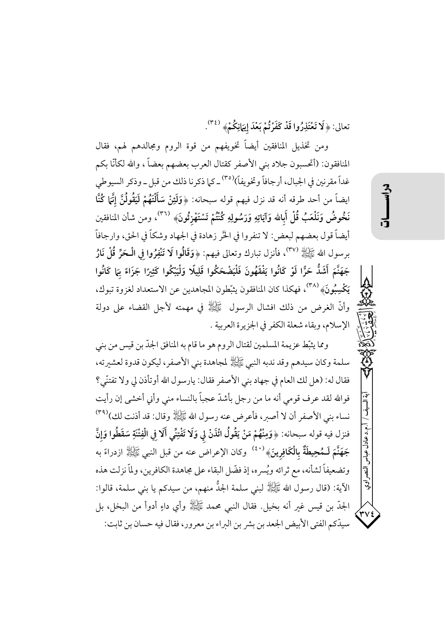تعالى: ﴿لَا تَعْتَذِرُوا قَدْ كَفَرْتُمْ بَعْدَ إِيهَانِكُمْ﴾  $(3^n)$ .

ومن تخذيل المنافقين أيضاً تخويفهم من قوة الروم ومجالدهم لهم، فقال المنافقون: (أتحسبون جلاد بني الأصفر كقتال العرب بعضهم بعضاً ، والله لكأنَّا بكم غداً مقرنين في الجبال، أرجافاً وتخويفاً)<sup>(٣٥)</sup> ـ كما ذكرنا ذلك من قبل ـ وذكر السيوطي ايضاً من أحد طرقه أنه قد نزل فيهم قوله سبحانه: ﴿وَلَئِنْ سَأَلْتَهُمْ لَيَقُولُنَّ إِنَّهَا كُنَّا نَخُوضُ وَنَلْعَبُ قُلْ أَبِالله وَآيَاتِهِ وَرَسُولِهِ كُنْتُمْ تَسْتَهْزِئُونَ﴾ <sup>(٣٦)</sup>، ومن شأن المنافقين أيضاً قول بعضهم لبعض: لا تنفروا في الحَّر زهادة في الجهاد وشكاً في الحق، وارجافاً برسول الله ﷺ (٣٧)، فأنزل تبارك وتعالى فيهم: ﴿وَقَالُوا لَا تَنْفِرُوا فِي الْـحَرِّ قُلْ نَارُ جَهَنَّمَ أَشَدُّ حَرًّا لَوْ كَانُوا يَفْقَهُونَ فَلْيَضْحَكُوا قَلِيلًا وَلْيَبْكُوا كَثِيرًا جَزَاءً بَمَا كَانُوا يَكْسِبُونَ﴾ <sup>(٣٨)</sup>، فهكذا كان المنافقون يثبّطون المجاهدين عن الاستعداد لغزوة تبوك، وأنَّ الغرض من ذلك افشال الرسول ﷺ في مهمته لأجل القضاء على دولة الإسلام، وبقاء شعلة الكفر في الجزيرة العربية .

ومما يثبِّط عزيمة المسلمين لقتال الروم هو ما قام به المنافق الجدّ بن قيس من بني سلمة وكان سيدهم وقد ندبه النبي ﷺ لمجاهدة بني الأصفر، ليكون قدوة لعشيرته، فقال له: (هل لك العام في جهاد بني الأصفر فقال: يارسول الله أوتأذن لي ولا تفتنّي؟ فوالله لقد عرف قومي أنه ما من رجل بأشدّ عجباً بالنساء منى وأني أخشى إن رأيت نساء بني الأصفر أن لا أصبر، فأعرض عنه رسول الله ﷺ وقال: قد أذنت لك)(٣٩) فنزل فيه قوله سبحانه: ﴿وَمِنْهُمْ مَنْ يَقُولُ ائْذَنْ لِي وَلَا تَفْتِنِّي أَلَا فِي الْفِتْنَةِ سَقَطُوا وَإِنَّ جَهَنَّمَ لَـمُحِيطَةٌ بِالْكَافِرِينَ﴾ <sup>(٤٠)</sup> وكان الإعراض عنه من قبل النبي ﷺ ازدراءً به وتضعيفاً لشأنه، مع ثرائه ويُسرِه، إذ فضّل البقاء على مجاهدة الكافرين، ولمّا نزلت هذه الآية: (قال رسول الله ﷺ لبني سلمة الجلُّ منهم، من سيدكم يا بني سلمة، قالوا: الجدّ بن قيس غير أنه بخيل. فقال النبي محمد ﷺ وأي داءٍ أدوأ من البخل، بل سيدّكم الفتى الأبيض الجعد بن بشر بن البراء بن معرور، فقال فيه حسان بن ثابت:

أ.م.د عادل عباس النصر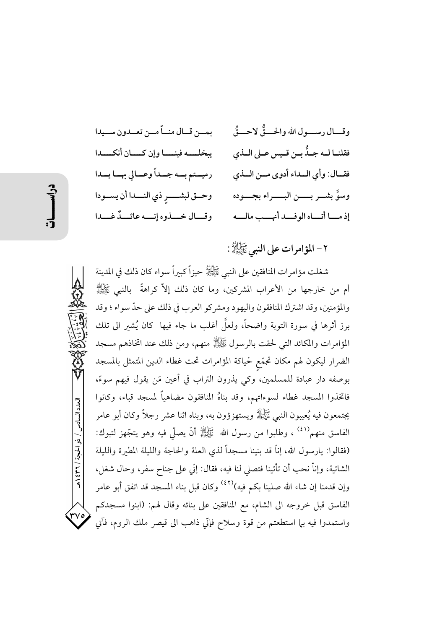بمـن قـال منــاّ مـن تعــدون ســيدا و قسال د سسه ل الله والحسقُّ لاحسقُ فقلنــا لــه جــدٌّ بــن قــيس عــلى الــذي ببخلسه فينسا وإن كسان أنكسدا فقــال: وأي الــداء أدوى مــن الــذي رميستم به جهداً وعسالي بهسا يسدا وسوَّ بشـــر بــــــن البــــــراء بجـــــوده وحــق لبشـــــرِ ذي النــــدا أن يســـودا وقبال خسذوه إنسه عائسكٌ غسدا إذ ما أتهاه الوفيد أنهب ماله

٢- المؤامرات على النبي ﷺ:

شغلت مؤامرات المنافقين على النبي ﷺ حيزاً كبيراً سواء كان ذلك في المدينة أم من خارجها من الأعراب المشركين، وما كان ذلك إلاّ كراهةً بالنبي ﷺ والمؤمنين، وقد اشترك المنافقون واليهود ومشركو العرب في ذلك على حدّ سواء ؛ وقد برز أثرها في سورة التوبة واضحاً، ولعلَّ أغلب ما جاء فيها كان يُشير الى تلك المؤامرات والمكائد التبي لحقت بالرسول ﷺ منهم، ومن ذلك عند اتخاذهم مسجد الضرار ليكون لهم مكان تجمّع لحياكة المؤامرات تحت غطاء الدين المتمثل بالمسجد بوصفه دار عبادة للمسلمين، وكي يذرون التراب في أعين مَن يقول فيهم سوءً، فاتخذوا المسجد غطاء لسوءاتهم، وقد بناهُ المنافقون مضاهياً لمسجد قباء، وكانوا يجتمعون فيه يُعيبون النبي ﷺ ويستهزؤون به، وبناه اثنا عشر رجلاً وكان أبو عامر الفاسق منهم `` ، وطلبوا من رسول الله ﷺ أنَّ يصلَّى فيه وهو يتجَّهز لتبوك: (فقالوا: يارسول الله، إناَّ قد بنينا مسجداً لذي العلة والحاجة والليلة المطيرة والليلة الشاتية، وإناَّ نحب أن تأتينا فتصلى لنا فيه، فقال: إنَّى على جناح سفرٍ، وحال شغلٍ، وإن قدمنا إن شاء الله صلينا بكم فيه)<sup>(٤٢)</sup> وكان قبل بناء المسجد قد اتفق أبو عامر الفاسق قبل خروجه الى الشام، مع المنافقين على بنائه وقال لهم: (ابنوا مسجدكم واستمدوا فيه بها استطعتم من قوة وسلاح فإتّي ذاهب الى قيصر ملك الروم، فآتي

العدد السادس / ذو الحجة / ٣٦ / ٤٣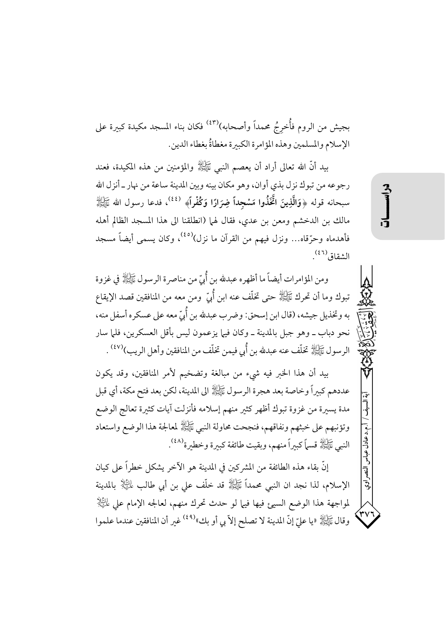بجيش من الروم فأُخرجُ محمداً وأصحابه)<sup>(٤٣)</sup> فكان بناء المسجد مكيدة كبيرة على الإسلام والمسلمين وهذه المؤامرة الكبيرة مغطاةٌ بغطاء الدين.

بيد أنَّ الله تعالى أراد أن يعصم النبي ﷺ والمؤمنين من هذه المكيدة، فعند رجوعه من تبوك نزل بذي أوان، وهو مكان بينه وبين المدينة ساعة من نهار ـ أنزل الله سبحانه قوله ﴿وَالَّذِينَ اتَّخَذُوا مَسْجِداً ضِرَارًا وَكُفْراً﴾  $^{(33)}$ ، فدعا رسول الله ﷺ مالك بن الدخشم ومعن بن عدي، فقال لهما (انطلقنا الى هذا المسجد الظالم أهله فأهدماه وحرّقاه… ونزل فيهم من القرآن ما نزل<sup>(٤٥)</sup>، وكان يسمى أيضاً مسجد الشقاق<sup>(٤٦)</sup>.

ومن المؤامرات أيضاً ما أظهره عبدلله بن أُبِيّ من مناصرة الرسول ﷺ في غزوة تبوك وما أن تحرك ﷺ حتى تخلَّف عنه ابن أُبِّ ۖ ومن معه من المنافقين قصد الإيقاع به وتخذيل جيشه، (قال ابن إسحق: وضر ب عبدلله بن أُبِّ معه على عسكره أسفل منه، نحو دباب ــ وهو جبل بالمدينة ــ وكان فيها يزعمون ليس بأقل العسكرين، فلما سار الرسول ﷺ تخلَّف عنه عبدلله بن أُبي فيمن تخلَّف من المنافقين وأهل الريب)(٤٧) .

بيد أن هذا الخبر فيه شيء من مبالغة وتضخيم لأمر المنافقين، وقد يكون عددهم كبيراً وخاصة بعد هجرة الرسول ﷺ الى المدينة، لكن بعد فتح مكة، أي قبل مدة يسيرة من غزوة تبوك أظهر كثير منهم إسلامه فأنزلت آيات كثيرة تعالج الوضع وتؤنبهم على خبثهم ونفاقهم، فنجحت محاولة النبي ﷺ لمعالجة هذا الوضع واستعاد النبي عَلَيْهِلَّهُ قسماً كبيراً منهم، وبقيت طائفة كبيرة وخطيرة <sup>(٤٨)</sup>.

إنَّ بقاء هذه الطائفة من المشركين في المدينة هو الآخر يشكل خطراً على كيان الإسلام، لذا نجد ان النبي محمداً ﷺ قد خلَّف على بن أبي طالب ﷺ بالمدينة لمواجهة هذا الوضع السيئ فيها فيها لو حدث تحرك منهم، لعالجه الإمام على لِلتِّيالِإ وقال ﷺ «يا عليِّ إنَّ المدينة لا تصلح إلاَّ بي أو بك»<sup>(٤٩)</sup> غير أن المنافقين عندما علموا ء د عادل عباس النصر

ر<br>ولي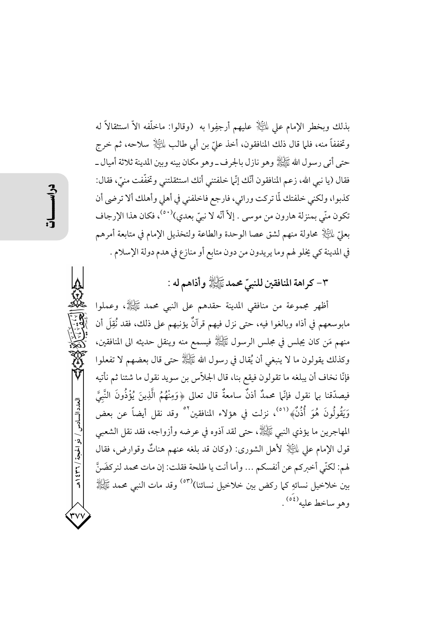بذلك وبخطر الإمام علي لِمائِيَالٍا عليهم أرجفِوا به (وقالوا: ماخلَّفه الاَّ استثقالاً له وتخففاً منه، فلما قال ذلك المنافقون، أخذ عليّ بن أبي طالب لِلَّــِيْلِا سلاحه، ثم خرج حتى أتى رسول الله ﷺ وهو نازل بالجرف\_وهو مكان بينه وبين المدينة ثلاثة أميال \_ فقال (يا نبي الله، زعم المنافقون أنَّك إنَّما خلفتني أنك استثقلتني وتخفَّفت منيٍّ، فقال: كذبوا، ولكني خلفتك لَّا تركت ورائي، فارجع فاخلفني في أهلي وأهلك ألا ترضي أن تكون منّى بمنزلة هارون من موسى . إلاّ أنّه لا نبيّ بعدي)<sup>(٥٠)</sup>، فكان هذا الإرجاف بعليِّ  $\mathbb{E}$  محاولة منهم لشق عصا الوحدة والطاعة ولتخذيل الإمام في متابعة أمرهم في المدينة كي يخلو لهم وما يريدون من دون متابع أو منازع في هدم دولة الإسلام .

# ٣- كراهة المنافقين للنبيِّ محمد ﷺ وأذاهم له :

أظهر مجموعة من منافقي المدينة حقدهم على النبي محمد ﷺ، وعملوا مابوسعهم في أذاه وبالغوا فيه، حتى نزل فيهم قرآنٌ يؤنبهم على ذلك، فقد نُقِلَ أن منهم مَن كان يجلس في مجلس الرسول ﷺ فيسمع منه وينقل حديثه الى المنافقين، وكذلك يقولون ما لا ينبغي أن يُقال في رسول الله ﷺ حتى قال بعضهم لا تفعلوا فإنَّا نخاف أن يبلغه ما تقولون فيقع بنا، قال الجلاَّس بن سويد نقول ما شئنا ثم نأتيه فيصدِّقنا بل نقول فإنَّما محمدٌ أذنٌ سامعةٌ قال تعالى ﴿وَمِنْهُمُ الَّذِينَ يُؤْذُونَ النَّبِيَّ وَيَقُولُونَ هُوَ أَذُنُّهُمْ `` ، نزلت في هؤلاء المنافقين `` وقد نقل أيضاً عن بعض المهاجرين ما يؤذي النبي ﷺ، حتى لقد آذوه في عرضه وأزواجه، فقد نقل الشعبي قول الإمام على لِمَائِيَادٍ ۖ لأهل الشورى: (وكان قد بلغه عنهم هناتٌ وقوارض، فقال لهم: لكنَّى أخبركم عن أنفسكم ... وأما أنت يا طلحة فقلت: إن مات محمد لنركضَنَّ بين خلاخيل نسائهِ كما ركض بين خلاخيل نسائنا)<sup>(٥٣)</sup> وقد مات النبي محمد ﷺ وهو ساخط عليه<sup>(٥٤)</sup>.

العدد السادس / ذو الحجة / ٣٦ / ٤٣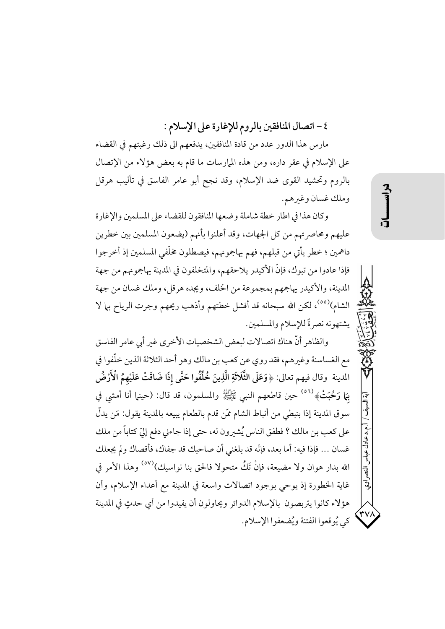٤ - اتصال المنافقين بالروم للإغارة على الإسلام :

مارس هذا الدور عدد من قادة المنافقين، يدفعهم الى ذلك رغبتهم في القضاء على الإسلام في عقر داره، ومن هذه المهارسات ما قام به بعض هؤلاء من الإتصال بالروم وتحشيد القوى ضد الإسلام، وقد نجح أبو عامر الفاسق في تأليب هرقل وملك غسان وغيرهم.

وكان هذا في اطار خطة شاملة وضعها المنافقون للقضاء على المسلمين والإغارة عليهم ومحاصر تهم من كل الجهات، وقد أعلنوا بأنهم (يضعون المسلمين بين خطرين داهمين ؛ خطر يأتي من قبلهم، فهم يهاجمونهم، فيصطلون مخلَّفي المسلمين إذ أخرجوا فإذا عادوا من تبوك، فإنَّ الأكيدر يلاحقهم، والمتخلفون في المدينة يهاجمونهم من جهة المدينة، والأكيدر يهاجمهم بمجموعة من الخلف، ويجده هرقل، وملك غسان من جهة الشام)<sup>(٥٥)</sup>، لكن الله سبحانه قد أفشل خطتهم وأذهب ريحهم وجرت الرياح بها لا يشتهونه نصرةً للإسلام والمسلمين.

والظاهر أنَّ هناك اتصالات لبعض الشخصيات الأخرى غبر أبي عامر الفاسق مع الغساسنة وغيرهم، فقد روى عن كعب بن مالك وهو أحد الثلاثة الذين خلّفوا في المدينة ۖ وقال فيهم تعالى: ﴿وَعَلَى الثَّلَاثَةِ الَّذِينَ خُلِّفُوا حَتَّى إذَا ضَاقَتْ عَلَيْهِمُ الْأَرْضُ بِهَا رَحْبَتْ﴾ <sup>(٥٦)</sup> حين قاطعهم النبي ﷺ والمسلمون، قد قال: (حينها أنا أمشي في سوق المدينة إذا بنبطي من أنباط الشام ممَّن قدم بالطعام يبيعه بالمدينة يقول: مَن يدلُّ على كعب بن مالك ؟ فطفق الناس يُشيرون له، حتى إذا جاءني دفع إليّ كتاباً من ملك غسان … فإذا فيه: أما بعد، فإنَّه قد بلغني أن صاحبك قد جفاك، فأقصاك ولم يجعلك الله بدار هوان ولا مضيعة، فإنْ تَكُ متحولا فالحق بنا نواسيك)<sup>(٥٧)</sup> وهذا الأمر في غاية الخطورة إذ يوحى بوجود اتصالات واسعة في المدينة مع أعداء الإسلام، وأن هؤلاء كانوا يتربصون بالإسلام الدوائر ويحاولون أن يفيدوا من أي حدثٍ في المدينة كي يُو قعوا الفتنة ويُضعفوا الإسلام.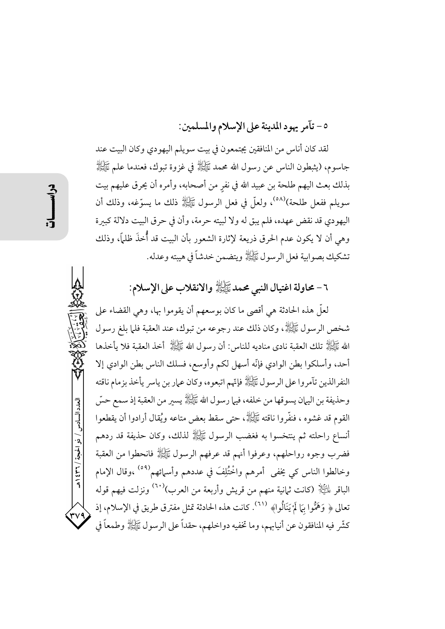٥- تآمر يهود المدينة على الإسلام والمسلمين:

لقد كان أناس من المنافقين يجتمعون في بيت سويلم اليهودي وكان البيت عند جاسوم، (يثبطون الناس عن رسول الله محمد ﷺ في غزوة تبوك، فعندما علم ﷺ بذلك بعث اليهم طلحة بن عبيد الله في نفرٍ من أصحابه، وأمره أن يحرق عليهم بيت سويلم ففعل طلحة)<sup>(٥٨)</sup>، ولعلَّ في فعل الرسول ﷺ ذلك ما يسوَّغه، وذلك أن اليهودي قد نقض عهده، فلم يبق له ولا لبيته حرمة، وأن في حرق البيت دلالة كبيرة وهي أن لا يكون عدم الحرق ذريعة لإثارة الشعور بأن البيت قد أُخذَ ظلمًا، وذلك تشكيك بصوابية فعل الرسول عَيَّاتِهُ ويتضمن خدشاً في هيبته وعدله.

# ٦ - محاولة اغتيال النبي محمد ﷺ والانقلاب على الإسلام:

لعلَّ هذه الحادثة هي أقصى ما كان بوسعهم أن يقوموا بها، وهي القضاء على شخص الرسول ﷺ، وكان ذلك عند رجوعه من تبوك، عند العقبة فلما بلغ رسول الله ﷺ تلك العقبة نادي مناديه للناس: أن رسول الله ﷺ أخذ العقبة فلا يأخذها أحد، وأسلكوا بطن الوادي فإنّه أسهل لكم وأوسع، فسلك الناس بطن الوادي إلا النفرالذين تآمروا على الرسول ﷺ فإتّهم اتبعوه، وكان عمار بن ياسر يأخذ بزمام ناقته وحذيفة بن اليهان يسوقها من خلفه، فيها رسول الله ﷺ يسير من العقبة إذ سمع حسّ القوم قد غشوه ، فنفَّروا ناقته ﷺ، حتى سقط بعض متاعه ويُقال أرادوا أن يقطعوا أنساع راحلته ثم ينتخسوا به فغضب الرسول ﷺ لذلك، وكان حذيفة قد ردهم فضرب وجوه رواحلهم، وعرفوا أنهم قد عرفهم الرسول ﷺ فانحطوا من العقبة وخالطوا الناس كي يخفي أمرهم واخْتُلِفَ في عددهم وأسمائهم<sup>(٥٩)</sup> ،وقال الإمام الباقر لِمَلِيَّالٍ (كانت ثمانية منهم من قريش وأربعة من العرب)<sup>(٦٠)</sup> ونزلت فيهم قوله تعالى ﴿ وَهَمُّوا بِمَا لَمْ يَنَالُوا﴾ (٦١). كانت هذه الحادثة تمثل مفترق طريق في الإسلام، إذ كشَّر فيه المنافقون عن أنيابهم، وما تخفيه دواخلهم، حقداً على الرسول ﷺ وطمعاً في

العدد السادس / ذو الحجة / ٣٦٦ هـ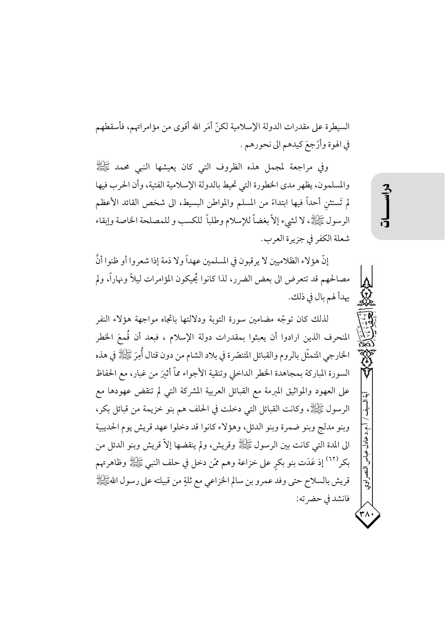السيطرة على مقدرات الدولة الإسلامية لكنّ أمَر الله أقوى من مؤامراتهم، فأسقطهم في الهوة وأرْجِعَ كيدهم الى نحورهم .

وفي مراجعة لمجمل هذه الظروف التي كان يعيشها النبي محمد ﷺ والمسلمون، يظهر مدى الخطورة التي تحيط بالدولة الإسلامية الفتية، وأن الحرب فيها لم تَستثن أحداً فيها ابتداءً من المسلم والمواطن البسيط، الى شخص القائد الأعظم الرسول ﷺ، لا لشيء إلاَّ بغضاً للإسلام وطلباً للكسب و للمصلحة الخاصة وإبقاء شعلة الكفر في جزيرة العرب.

إنَّ هؤ لاء الظلاميين لا يرقبون في المسلمين عهداً ولا ذمة إذا شعروا أو ظنوا أنَّ مصالحهم قد تتعرض الى بعض الضرر، لذا كانوا يُحيكون المؤامرات ليلاً ونهاراً، ولم يهدأ لهم بال في ذلك.

لذلك كان توجّه مضامين سورة التوبة ودلالتها باتجاه مواجهة هؤلاء النفر المنحرف الذين ارادوا أن يعبثوا بمقدرات دولة الإسلام ، فبعد أن قُمعَ الخطر الخارجي المتمثَّل بالروم والقبائل المتنصِّرة في بلاد الشام من دون قتال أُمِرَ ﷺ في هذه السورة المباركة بمجاهدة الخطر الداخلي وتنقية الأجواء مماّ أثبرَ من غبار، مع الحفاظ على العهود والمواثيق المبرمة مع القبائل العربية المشركة التي لم تنقض عهودها مع الرسول ﷺ، وكانت القبائل التي دخلت في الحلف هم بنو خزيمة من قبائل بكر، وبنو مدلج وبنو ضمرة وبنو الدئل، وهؤلاء كانوا قد دخلوا عهد قريش يوم الحديبية الى المدة التي كانت بين الرسول ﷺ وقريش، ولم ينقضها إلاَّ قريش وبنو الدئل من بكرٍ<sup>(٦٢)</sup> إذ عَدَت بنو بكر على خزاعة وهم ممّن دخل في حلف النبي ﷺ وظاهرتهم قريش بالسلاح حتى وفد عمرو بن سالم الخزاعي مع ثلةٍ من قبيلته على رسول اللهﷺ فانشد في حضر ته: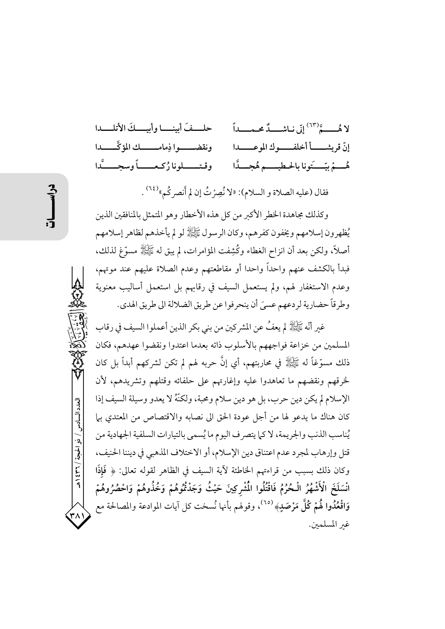حلفَ أمينــا وأبيــكَ الأتلـــدا لا هُـــــةٌ(٦٣) إِنِّي نِياشِـــددٌ محـــداً ونقضــــوا ذِمامــــــك المؤكَّـــــدا إنَّ قريشـــــأ أخلفـــــوك الموعــــــدا وقتــــــلونا زُكـعــــــاً وسجـــــدًّا هُ مُ بيِّ يَونا بِالحطيب هُ هُجِ أَا

فقال (عليه الصلاة و السلام): «لا نُصِرْتُ إن لم أَنصر كُم»<sup>(٢٤)</sup> .

وكذلك مجاهدة الخطر الأكبر من كل هذه الأخطار وهو المتمثل بالمنافقين الذين يُظهرون إسلامهم ويخفون كفرهم، وكان الرسول ﷺ لو لم يأخذهم لظاهر إسلامهم أصلاً، ولكن بعد أن انزاح الغطاء وكُشِفت المؤامرات، لم يبق له ﷺ مسوَّغ لذلك، فبدأ بالكشف عنهم واحداً واحدا أو مقاطعتهم وعدم الصلاة عليهم عند موتهم، وعدم الاستغفار لهم، ولم يستعمل السيف في رقابهم بل استعمل أساليب معنوية وطرقاً حضارية لردعهم عسيَ أن ينحرفوا عن طريق الضلالة الى طريق الهدي.

غير أنَّه ﷺ لم يعفُ عن المشركين من بني بكر الذين أعملوا السيف في رقاب المسلمين من خزاعة فواجههم بالأسلوب ذاته بعدما اعتدوا ونقضوا عهدهم، فكان ذلك مسوَّغاً له ﷺ في محاربتهم، أي إنَّ حربه لهم لم تكن لشركهم أبداً بل كان لخرقهم ونقضهم ما تعاهدوا عليه وإغارتهم على حلفائه وقتلهم وتشريدهم، لأن الإسلام لم يكن دين حرب، بل هو دين سلام ومحبة، ولكنَّهُ لا يعدو وسيلة السيف إذا كان هناك ما يدعو لها من أجل عودة الحق الى نصابه والاقتصاص من المعتدي بها يُناسب الذنب والجريمة، لا كما يتصرف اليوم ما يُسمى بالتيارات السلفية الجهادية من قتل وإرهاب لمجرد عدم اعتناق دين الإسلام، أو الاختلاف المذهبي في ديننا الحنيف، وكان ذلك بسببٍ من قراءتهم الخاطئة لآية السيف في الظاهر لقوله تعالى: ﴿ فَإِذَا انْسَلَخَ الْأَشْهُرُ الْحُرُمُ فَاقْتُلُوا الْمُشْرِكِينَ حَيْثُ وَجَدْتُمُوهُمْ وَخُذُوهُمْ وَاحْصُرُوهُمْ وَاقْعُدُوا لَهُمْ كُلَّ مَرْصَلٍ﴾ <sup>(٦٥)</sup>، وقولهم بأنها نُسخت كل آيات الموادعة والمصالحة مع غير المسلمين.

العدد السادس / ذو الحجة / ٣٦٤ هـ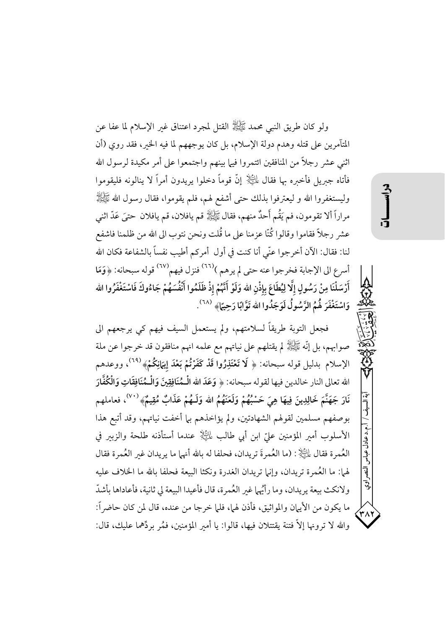ولو كان طريق النبي محمد ﷺ القتل لمجرد اعتناق غير الإسلام لما عفا عن المتآمرين على قتله وهدم دولة الإسلام، بل كان يوجههم لما فيه الخير، فقد روي (أن اثني عشر رجلاً من المنافقين ائتمروا فيها بينهم واجتمعوا على أمر مكيدة لرسول الله فأتاه جبريل فأخبره بها فقال لِلثِّالِ ۚ إنَّ قوماً دخلوا يريدون أمراً لا ينالونه فليقوموا وليستغفروا الله و ليعترفوا بذلك حتى أشفع لهم، فلم يقوموا، فقال رسول الله ﷺ مراراً ألا تقومون، فم يَقْم أَحدٌ منهم، فقال ﷺ قم يافلان، قم يافلان حتىَ عَدّ اثني عشر رجلاً فقاموا وقالوا كُنَّا عزمنا على ما قُلت ونحن نتوب الى الله من ظلمنا فاشفع لنا: فقال: الآن أخرجوا عنَّى أنا كنت في أول أمركم أطيب نفساً بالشفاعة فكان الله أسرع الى الإجابة فخرجوا عنه حتى لم يرهم )<sup>(٦٦)</sup> فنزل فيهم<sup>(٦٧)</sup> قوله سبحانه: ﴿وَمَا أَرْسَلْنَا مِنْ رَسُولٍ إِلَّا لِيُطَاعَ بِإِذْنِ الله وَلَوْ أَنَّهُمْ إِذْ ظَلَمُوا أَنْفُسَهُمْ جَاءُوكَ فَاسْتَغْفَرُوا الله وَاسْتَغْفَرَ هُمُ الرَّسُولُ لَوَجَدُوا الله تَوَّابًا رَحِيًا﴾ <sup>(٢٨)</sup>.

فجعل التوبة طريقاً لسلامتهم، ولم يستعمل السيف فيهم كي يرجعهم الى صوابهم، بل إنَّه ﷺ لم يقتلهم على نياتهم مع علمه انهم منافقون قد خرجوا عن ملة الإسلام بدليل قوله سبحانه: ﴿ لَا تَعْتَذِرُوا قَدْ كَفَرْتُمْ بَعْدَ إِيهَانِكُمْ﴾ (٢٩)، ووعدهم الله تعالى النار خالدين فيها لقوله سبحانه: ﴿ وَعَدَ اللَّهِ الْـمُنَافِقِينَ وَالْـمُنَافِقَاتِ وَالْكُفَّارَ نَارَ جَهَنَّمَ خَالِدِينَ فِيهَا هِيَ حَسْبُهُمْ وَلَعَنَهُمُ الله وَلَـهُمْ عَذَابٌ مُقِيمٌ» ```، فعاملهم بوصفهم مسلمين لقولهم الشهادتين، ولم يؤاخذهم بيا أخفت نياتهم، وقد أتبع هذا الأسلوب أمير المؤمنين عليّ ابن أبي طالب لِمَلَيْلٍا عندما أستأذنه طلحة والزبير في العُمرة فقال عليَّالٍا : (ما العُمرةَ تريدان، فحلفا له بالله أنها ما يريدان غير العُمرة فقال لهما: ما العُمرة تريدان، وإنها تريدان الغدرة ونكثا البيعة فحلفا بالله ما الخلاف عليه ولانكث بيعة يريدان، وما رأيُها غير العُمرة، قال فأعيدا البيعة لي ثانية، فأعاداها بأشدّ ما يكون من الأيهان والمواثيق، فأذن لهما، فلما خرجا من عنده، قال لمن كان حاضراً: والله لا ترونها إلاَّ فتنة يقتتلان فيها، قالوا: يا أمير المؤمنين، فمُر بردِّهما عليك، قال:

.م.د عادل عباس

اتضم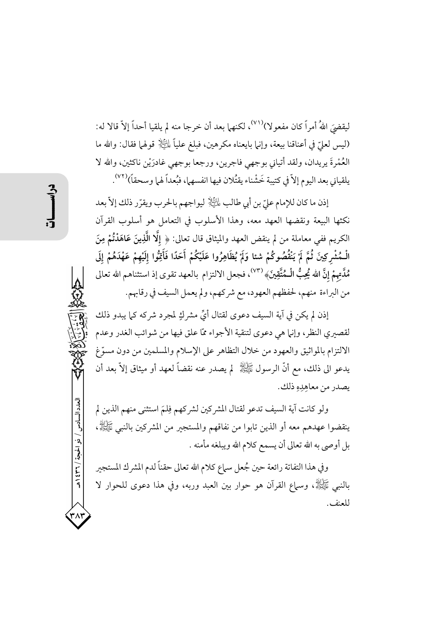ليقضيَ اللهُ أمراً كان مفعوٍ لا)``` لكنهما بعد أن خرجا منه لم يلقيا أحداً إلاّ قالا له: (ليس لعليّ في أعناقنا بيعة، وإنها بايعناه مكرهين، فبلغ علياً لِلتِّلاِّ قولها فقال: والله ما العُمْرةَ يريدان، ولقد أتياني بوجهي فاجرين، ورجعا بوجهي غادرَيْن ناكثين، والله لا يلقياني بعد اليوم إلاَّ في كتيبة خَشْناء يقتُلان فيها انفسهما، فبُعداً لهما وسحقاً)(٧٢).

إذن ما كان للإمام عليّ بن أبي طالب لِلتِّلِ ليواجهم بالحرب ويقرّر ذلك إلاّ بعد نكثها البيعة ونقضها العهد معه، وهذا الأسلوب في التعامل هو أسلوب القرآن الكريم ففي معاملة من لم ينقض العهد والميثاق قال تعالى: ﴿ إِلَّا الَّذِينَ عَاهَدْتُمْ مِنَ الْـمُشْرِكِينَ ثُمَّ لَمْ يَنْقُصُوكُمْ شئا وَلَمْ يُظَاهِرُوا عَلَيْكُمْ أَحَدًا فَأَقِوُّا إِلَيْهِمْ عَهْدَهُمْ إِلَى مُلَّتهمْ إنَّ الله يُحِبُّ الْـمُتَّقِينَ﴾ <sup>(٧٣)</sup>، فجعل الالتزام بالعهد تقوى إذ استثناهم الله تعالى من البراءة منهم، لحفظهم العهود، مع شركهم، ولم يعمل السيف في رقابهم.

إذن لم يكن في آية السيف دعوى لقتال أيٍّ مشركٍ لمجرد شركه كما يبدو ذلك لقصيري النظر، وإنها هي دعوى لتنقية الأجواء ممّا علق فيها من شوائب الغدر وعدم الالتزام بالمواثيق والعهود من خلال التظاهر على الإسلام والمسلمين من دون مسوّغ يدعو الى ذلك، مع أنَّ الرسول ﷺ لم يصدر عنه نقضاً لعهد أو ميثاق إلاَّ بعد أن يصدر من معاهِدِهِ ذلك.

ولو كانت آية السيف تدعو لقتال المشركين لشركهم فِلمَ استثنى منهم الذين لم ينقضوا عهدهم معه أو الذين تابوا من نفاقهم والمستجير من المشركين بالنبي ﷺ، بل أوصى به الله تعالى أن يسمع كلام الله ويبلغه مأمنه .

وفي هذا التفاتة رائعة حين جُعل سماع كلام الله تعالى حقناً لدم المشرك المستجير بِالنَّبِي ﷺ، وسَمَّاعِ الْقُرْآنِ هُوَ حَوَارٍ بَيْنَ الْعَبْدِ وَرَبُّهِ، وَفِي هَذَا دَعُوِي لِلْحَوارِ لَا للعنف.

العدد السادس / ذو الحجة / ٣٦٦ هـ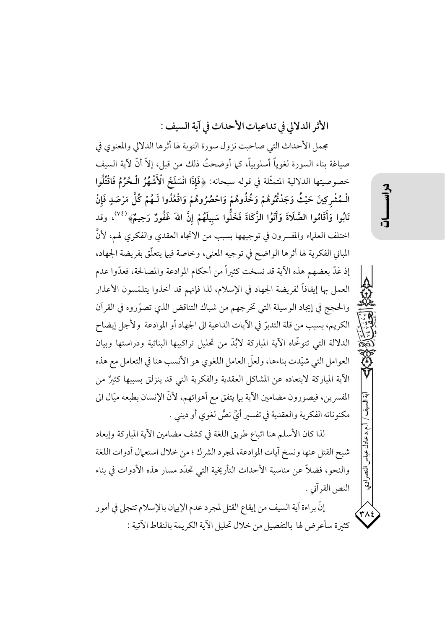الأثر الدلالي في تداعيات الأحداث في آية السيف :

مجمل الأحداث التي صاحبت نزول سورة التوبة لها أثرها الدلالي والمعنوي في صياغة بناء السورة لغوياً أسلوبياً، كما أوضحتُ ذلك من قبل، إلاَّ أنَّ لآية السيف خصوصيتها الدلالية المتمثَّلة في قوله سبحانه: ﴿فَإِذَا انْسَلَخَ الْأَشْهُرُ الْحُرُمُ فَاقْتُلُوا الْـمُشْرِكِينَ حَيْثُ وَجَدْتُمُوهُمْ وَخُذُوهُمْ وَاحْصُرُوهُمْ وَاقْعُدُوا لَـهُمْ كُلَّ مَرْصَدٍ فَإنْ تَابُوا وَأَقَامُوا الصَّلَاةَ وَآتَوُا الزَّكَاةَ فَخَلُّوا سَبِيلَهُمْ إِنَّ اللهَ غَفُورٌ رَحِيمٌ﴾ <sup>(٧٤)</sup>، وقد اختلف العلماء والمفسر ون في توجيهها بسبب من الاتجاه العقدي والفكري لهم، لأنَّ المباني الفكرية لها أثرها الواضح في توجيه المعنى، وخاصة فيها يتعلَّق بفريضة الجهاد، إذ عَدّ بعضهم هذه الآية قد نسخت كثيراً من أحكام الموادعة والمصالحة، فعدّوا عدم العمل بها إيقافاً لفريضة الجهاد في الإسلام، لذا فإنهم قد أخذوا يتلمَّسون الأعذار والحجج في إيجاد الوسيلة التي تخرجهم من شباك التناقض الذي تصوَّروه في القرآن الكريم، بسبب من قلة التدبرِّ في الآيات الداعية الى الجهاد أو الموادعة ۖ ولأجل إيضاح الدلالة التي تتوخَّاه الآية المباركة لابُدَّ من تحليل تراكيبها البنائية ودراستها وبيان العوامل التي شيّدت بناءها، ولعلّ العامل اللغوي هو الأنسب هنا في التعامل مع هذه الآية المباركة لابتعاده عن المشاكل العقدية والفكرية التي قد ينزلق بسببها كثئرٌ من المفسرين، فيصورون مضامين الآية بها يتفق مع أهوائهم، لأنَّ الإنسان بطبعه ميَّال الى مكنوناته الفكرية والعقدية في تفسير أيٍّ نصٍّ لغوي أو ديني .

لذا كان الأسلم هنا اتباع طريق اللغة في كشف مضامين الآية المباركة وإبعاد شبح القتل عنها ونسخ آيات الموادعة، لمجرد الشرك ؛ من خلال استعمال أدوات اللغة والنحو، فضلاً عن مناسبة الأحداث التأريخية التي تحدَّد مسار هذه الأدوات في بناء النص القرآني .

إنَّ براءة آية السيف من إيقاع القتل لمجرد عدم الإيهان بالإسلام تتجلى في أمور كثيرة سأعرض لها بالتفصيل من خلال تحليل الآية الكريمة بالنقاط الآتية : .د عادل عباس

اتضم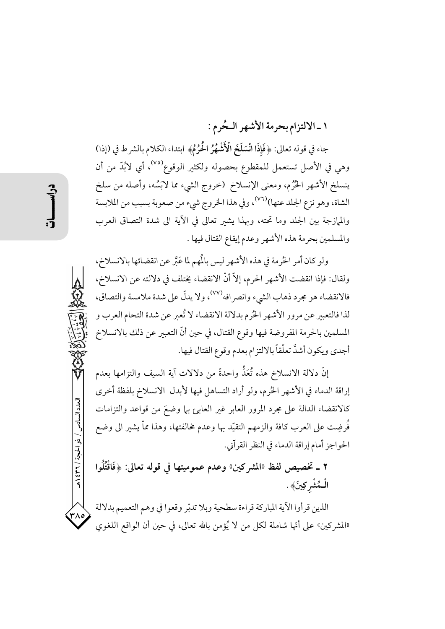## ١ ـالالتزام بحرمة الأشهر الـحُرم :

جاء في قوله تعالى: ﴿فَإِذَا انْسَلَخَ الْأَشْهُرُ الْحُرُمُ﴾ ابتداء الكلام بالشرط في (إذا) وهي في الأصل تستعمل للمقطوع بحصوله ولكثير الوقوع<sup>(٧٥)</sup>، أي لابُدّ من أن ينسلخ الأشهر الحُرُم، ومعنى الإنسلاخ (خروج الشيء مما لاَبَسُه، وأصله من سلخ الشاة، وهو نزع الجلد عنها)<sup>(٧٦)</sup>، وفي هذا الخروج شيء من صعوبة بسبب من الملابسة والممازجة بين الجلد وما تحته، وبهذا يشير تعالى في الآية الى شدة التصاق العرب والمسلمين بحرمة هذه الأشهر وعدم إيقاع القتال فيها .

ولو كان أمر الحُرمة في هذه الأشهر ليس بالمُهم لما عَبَّر عن انقضائها بالانسلاخ، ولقال: فإذا انقضت الأشهر الحرم، إلاَّ أنَّ الانقضاء يختلف في دلالته عن الانسلاخ، فالانقضاء هو مجرد ذهاب الشيء وانصر افه<sup>(٧٧)</sup>، ولا يدلُّ على شدة ملامسة والتصاق، لذا فالتعبير عن مرور الأشهر الحُرم بدلالة الانقضاء لا تُعير عن شدة التحام العرب و المسلمين بالحرمة المفروضة فيها وقوع القتال، في حين أنَّ التعبير عن ذلك بالانسلاخ أجدي ويكون أشدَّ تعلّقاً بالالتزام بعدم وقوع القتال فيها.

إنَّ دلالة الانسلاخ هذه تُعَدُّ واحدةً من دلالات آية السيف والتزامها بعدم إراقة الدماء في الأشهر الحُرم، ولو أراد التساهل فيها لأبدل الانسلاخ بلفظة أخرى كالانقضاء الدالة على مجرد المرور العابر غير العابئ بها وضعَ من قواعد والتزامات فُرضِت على العرب كافة والزمهم التقيّد بها وعدم مخالفتها، وهذا ممّا يشير الى وضع الحواجز أمام إراقة الدماء في النظر القرآني.

٢ ـ تخصيص لفظ «المشركين» وعدم عموميتها في قوله تعالى: ﴿فَاقْتُلُوا الْـمُشْركِينَ﴾ .

الذين قرأوا الآية المباركة قراءة سطحية وبلا تدبّر وقعوا في وهم التعميم بدلالة «المشركين» على أنَّها شاملة لكلِّ من لا يُؤمن بالله تعالى، في حين أن الواقع اللغوي

العدد السادس / ذو الحبجة / ٣٦ / ٤٣٩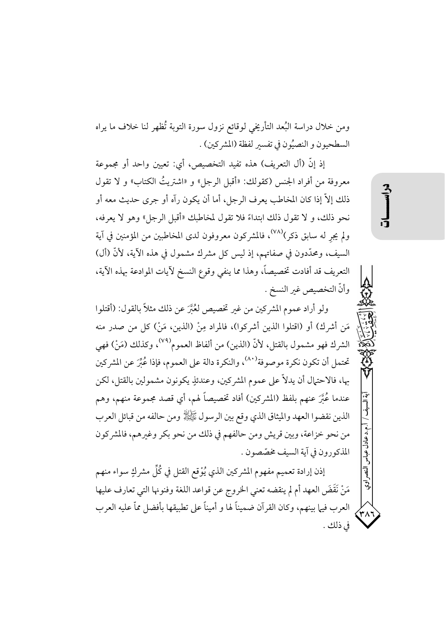ومن خلال دراسة البُعد التأريخي لوقائع نزول سورة التوبة تُظهر لنا خلاف ما يراه السطحيون و النصيُون في تفسير لفظة (المشركين) .

إذ إنَّ (أل التعريف) هذه تفيد التخصيص، أي: تعيين واحد أو مجموعة معروفة من أفراد الجنس (كقولك: «أقبل الرجل» و «اشتريتُ الكتاب» و لا تقول ذلك إلاَّ إذا كان المخاطب يعرف الرجل، أما أن يكون رآه أو جرى حديث معه أو نحو ذلك، و لا تقول ذلك ابتداءً فلا تقول لمخاطبك «أقبل الرجل» وهو لا يعرفه، ولم يجرٍ له سابق ذكر)<sup>(٧٨)</sup>، فالمشركون معروفون لدى المخاطبين من المؤمنين في آية السيف، ومحدَّدون في صفاتهم، إذ ليس كل مشرك مشمول في هذه الآية، لأنَّ (أل) التعريف قد أفادت تخصيصاً، وهذا مما ينفي وقوع النسخ لآيات الموادعة بهذه الآية، وأنّ التخصيص غير النسخ .

ولو أراد عموم المشركين من غير تخصيص لعُبَّرَ عن ذلك مثلاً بالقول: (أقتلوا مَنِ أشركِ) أو (اقتلوا الذين أشركوا)، فالمراد مِنْ (الذين، مَنْ) كل من صدر منه الشرك فهو مشمول بالقتل، لأنَّ (الذين) من ألفاظ العموم<sup>(٧٩)</sup>، وكذلك (مَنْ) فهي تحتمل أن تكون نكرة موصوفة'<sup>٨٠)</sup>، والنكرة دالة على العموم، فإذا عُبِّرَ عن المشركين بها، فالاحتهال أن يدلاُّ على عموم المشركين، وعندئذٍ يكونون مشمولين بالقتل، لكن عندما عُبَّرَ عنهم بلفظ (المشركين) أفاد تخصيصاً لهم، أي قصد مجموعة منهم، وهم الذين نقضوا العهد والميثاق الذي وقع بين الرسول ﷺ ومن حالفه من قبائل العرب من نحو خزاعة، وبين قريش ومن حالفهم في ذلك من نحو بكر وغيرهم، فالمشركون المذكورون في آية السيف مخصّصون .

إذن إرادة تعميم مفهوم المشركين الذي يُوْقع القتل في كُلِّ مشركٍ سواء منهم مَنْ نَقَضَ العهد أم لم ينقضه تعني الخروج عن قواعد اللغة وفنونها التي تعارف عليها العرب فيها بينهم، وكان القرآن ضميناً لها و أميناً على تطبيقها بأفضل مماّ عليه العرب في ذلك . م.د عادل عباس

اتع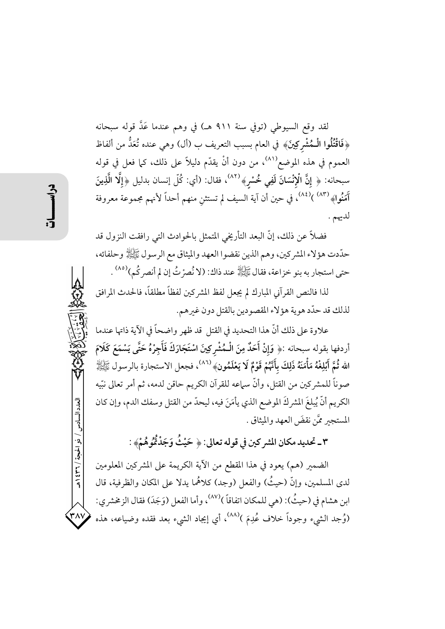لقد وقع السيوطي (توفي سنة ٩١١ هـ) في وهم عندما عَدَّ قوله سبحانه ﴿فَاقْتُلُوا الْـمُشْرِكِينَ﴾ في العام بسبب التعريف ب (أل) وهي عنده تُعَدُّ من ألفاظ العموم في هذه الموضع<sup>(٨١)</sup>، من دون أنْ يقدّم دليلاً على ذلك، كما فعل في قوله سبحانه: ﴿ إِنَّ الْإِنْسَانَ لَفِي خُسْرٍ﴾ (٨٢)، فقال: (أي: كُلّ إنسان بدليل ﴿إِلَّا الَّذِينَ آمَنُوا﴾ (٨٣) (٨٤)، في حين أن آية السيف لم تستثنِ منهم أحداً لأنهم مجموعة معروفة لديهم .

فضلاً عن ذلك، إنَّ البعد التأريخي المتمثل بالحوادث التي رافقت النزول قد حدّدت هؤلاء المشركين، وهم الذين نقضوا العهد والميثاق مع الرسول ﷺ وحلفائه، حتى استجار به بنو خزاعة، فقال ﷺ عند ذاك: (لا نُصرْتُ إن لم أنصركُم)<sup>(٨٥)</sup> .

لذا فالنص القرآني المبارك لم يجعل لفظ المشركين لفظاً مطلقاً، فالحدث المرافق لذلك قد حدّد هوية هؤلاء المقصودين بالقتل دون غيرهم.

علاوة على ذلك أنَّ هذا التحديد في القتل قد ظهر واضحاً في الآية ذاتها عندما أردفها بقوله سبحانه :﴿ وَإِنْ أَحَدٌ مِنَ الْـمُشْرِكِينَ اسْتَجَارَكَ فَأَجِرْهُ حَتَّى يَسْمَعَ كَلَامَ الله ثُمَّ أَبْلِغْهُ مَأْمَنَهُ ذَلِكَ بِأَنَّهُمْ قَوْمٌ لَا يَعْلَمُونِ﴾ (^^)، فجعل الاستجارة بالرسول ﷺ صوناً للمشركين من القتل، وأنَّ سماعه للقرآن الكريم حاقن لدمه، ثم أمر تعالى نبِّيه الكريم أنَّ يُبلغَ المشركَ الموضع الذي يأمَنَ فيه، ليحدَّ من القتل وسفك الدم، وإن كان المستجير ممَّن نقضَ العهد والميثاق .

٣ ـ تحديد مكان المشركين في قوله تعالى: ﴿ حَيْثُ وَجَدْتُّمُوهُمْ﴾ :

الضمير (هم) يعود في هذا المقطع من الآية الكريمة على المشركين المعلومين لدى المسلمين، وإنَّ (حيثُ) والفعل (وجد) كلاهُما يدلا على المكان والظرفية، قال ابن هشام في (حيثُ): (هي للمكان اتفاقاً )<sup>(٨٧)</sup>، وأما الفعل (وَجَدَ) فقال الزمخشري: (وُجِد الشيء وجوداً خلاف عُدِمَ )<sup>(٨٨)</sup>، أي إيجاد الشيء بعد فقده وضياعه، هذه

العدد السادس / ذو الحجة / ٣٦ ٤ ٩ هـ

۳۸۷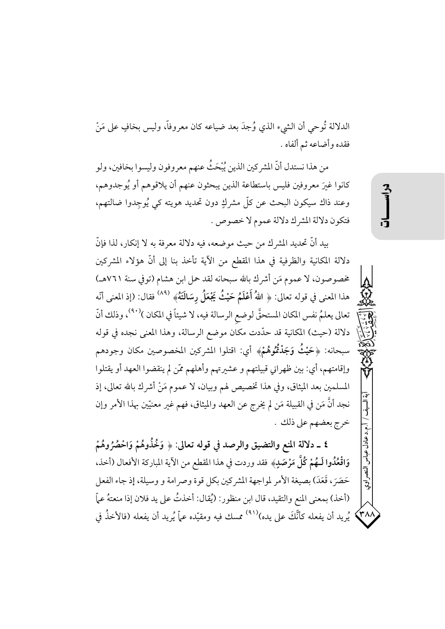الدلالة تُوحي أن الشيء الذي وُجدَ بعد ضياعه كان معروفاً، وليس بخافٍ على مَنْ فقده وأضاعه ثم ألفاه .

من هذا نستدل أنَّ المشركين الذين يُبْحَثُ عنهم معروفون وليسوا بخافين، ولو كانوا غبرَ معروفين فليس باستطاعة الذين يبحثون عنهم أن يلاقوهم أو يُوجدوهم، وعند ذاك سيكون البحث عن كلِّ مشركٍ دون تحديد هويته كي يُوجِدوا ضالتهم، فتكون دلالة المشرك دلالة عموم لا خصوص .

بيد أنَّ تحديد المشرك من حيث موضعه، فيه دلالة معرفة به لا إنكار، لذا فإنَّ دلالة المكانية والظرفية في هذا المقطع من الآية تأخذ بنا إلى أنَّ هؤلاء المشركين مخصوصون، لا عموم مَن أشرك بالله سبحانه لقد حمل ابن هشام (توفي سنة ٧٦١هـ) هذا المعنى في قوله تعالى: ﴿ اللهُ أَعْلَمُ حَيْثُ يَجْعَلُ رِسَالَتَهُ﴾  $^{(\wedge \wedge)}$  فقال: (إذ المعنى أنّه تعالى يعلمُ نفس المكان المستحقَّ لوضع الرسالة فيه، لا شيئاً في المكان )<sup>(٩٠)</sup>، وذلك أنَّ دلالة (حيث) المكانية قد حدَّدت مكان موضع الرسالة، وهذا المعنى نجده في قوله سبحانه: ﴿حَيْثُ وَجَدْتُمُوهُمْ﴾ أي: اقتلوا المشركين المخصوصين مكان وجودهم وإقامتهم، أي: بين ظهراني قبيلتهم و عشيرتهم وأهلهم ممَّن لم ينقضوا العهد أو يقتلوا المسلمين بعد الميثاق، وفي هذا تخصيص لهم وبيان، لا عموم مَنْ أشرك بالله تعالى، إذ نجد أنَّ مَن في القبيلة مَن لم يخرج عن العهد والميثاق، فهم غير معنيّين بهذا الأمر وإن خرج بعضهم على ذلك .

٤ \_ دلالة المنع والتضيق والرصد في قوله تعالى: ﴿ وَخُذُوهُمْ وَاحْصُرُوهُمْ وَاقْعُدُوا لَـهُمْ كُلَّ مَرْصَدٍ﴾ فقد وردت في هذا المقطع من الآية المباركة الأفعال (أخذ، حَصَرَ، قَعَدَ) بصيغة الأمر لمواجهة المشركين بكل قوة وصرامة و وسيلة، إذ جاء الفعل (أخذ) بمعنى المنع والتقيد، قال ابن منظور: (يُقال: أخذتُ على يد فلان إذا منعتهُ عمَّا يُريد أن يفعله كأنَّكَ على يده)<sup>(٩١)</sup> ممسك فيه ومقيّده عمّاً يُريد أن يفعله (فالأخذُ في

 $\left\langle \mathbf{r}\wedge\mathbf{r}\right\rangle$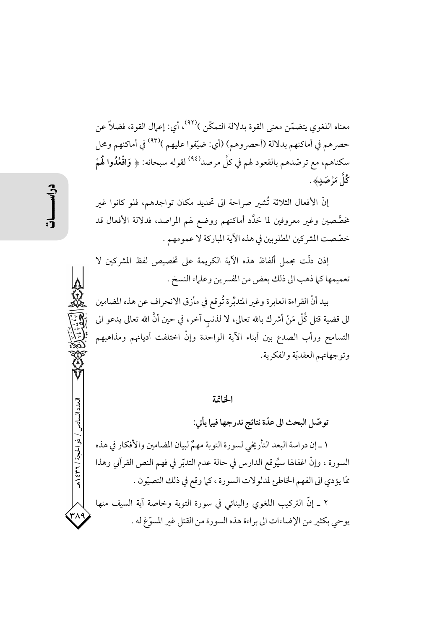معناه اللغوي يتضمّن معنى القوة بدلالة التمكّن )<sup>(٩٢)</sup>، أي: إعمال القوة، فضلاً عن حصرهم في أماكنهم بدلالة (أحصروهم) (أي: ضيّفوا عليهم )<sup>(٩٣)</sup> في أماكنهم ومحل سكناهم، مع ترصّدهم بالقعود لهم في كلَّ مرصد<sup>(٩٤)</sup> لقوله سبحانه: ﴿ وَاقْعُدُوا لَهُمْ كُلَّ مَرْ صَدِ﴾ .

إنَّ الأفعال الثلاثة تُشير صراحة الى تحديد مكان تواجدهم، فلو كانوا غير مخصَّصين وغير معروفين لما حَدَّد أماكنهم ووضع لهم المراصد، فدلالة الأفعال قد خصّصت المشركين المطلوبين في هذه الآية المباركة لا عمومهم .

إذن دلَّت مجملٍ ألفاظ هذه الآية الكريمة على تخصيص لفظ المشركين لا تعميمها كما ذهب الى ذلك بعض من المفسرين وعلماء النسخ .

بيد أنَّ القراءة العابرة وغير المتدبِّرة تُوقع في مأزق الانحراف عن هذه المضامين الى قضية قتل كُلُّ مَنْ أشرك بالله تعالى، لا لذنب آخر، في حين أنَّ الله تعالى يدعو الى التسامح ورأب الصدع بين أبناء الآية الواحدة وإنْ اختلفت أديانهم ومذاهبهم وتوجهاتهم العقديّة والفكرية.

الخاتمة

توصّل البحث الي عدّة نتائج ندرجها فيما يأتي:

١ \_ إن دراسة البعد التأريخي لسورة التوبة مهمٌ لبيان المضامين والأفكار في هذه السورة ، وإنَّ اغفالها سيُوقع الدارس في حالة عدم التدبّر في فهم النص القرآني وهذا ممَّا يؤدي الى الفهم الخاطئ لمدلولات السورة ، كما وقع في ذلك النصيّون .

٢ ـ إنَّ التركيب اللغوي والبنائي في سورة التوبة وخاصة آية السيف منها يوحي بكثير من الإضاءات الى براءة هذه السورة من القتل غير المسوّغ له .

/ ذو الحجة / ٢٦١ / هـ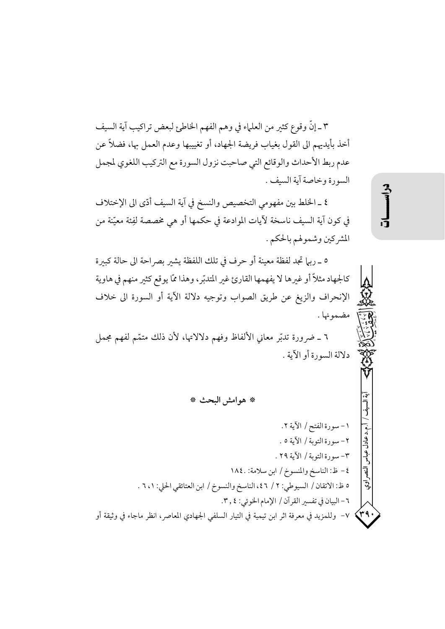٣ ـ إنَّ وقوع كثير من العلماء في وهم الفهم الخاطئ لبعض تراكيب آية السيف أخذ بأيديهم الى القول بغياب فريضة الجهاد، أو تغييبها وعدم العمل بها، فضلاً عن عدم ربط الأحداث والوقائع التي صاحبت نزول السورة مع التركيب اللغوي لمجمل السورة وخاصة آية السيف .

٤ ـ الخلط بين مفهومي التخصيص والنسخ في آية السيف أدّى الى الإختلاف في كون آية السيف ناسخة لآيات الموادعة في حكمها أو هي مخصصة لفِئة معيّنة من المشركين وشمولهم بالحكم .

٥ \_ ربيا تجد لفظة معينة أو حرف في تلك اللفظة يشبر بصراحة الى حالة كبيرة كالجهاد مثلاً أو غيرها لا يفهمها القارئ غير المتدبّر، وهذا ممّا يوقع كثير منهم في هاوية الإنحراف والزيغ عن طريق الصواب وتوجيه دلالة الآية أو السورة الى خلاف مضمونها .

٦ ـ ضرورة تدبّر معاني الألفاظ وفهم دلالاتها، لأن ذلك متمّم لفهم مجمل دلالة السورة أو الآية .

\* هوامش البحث \*

١-سورة الفتح/ الآية ٢. و.د عادل ٢- سورة التوبة / الآية ٥ . .<br>چاپو ٣- سورة التوبة / الآية ٢٩ . ٤– ظ: الناسخ والمنسوخ / ابن سلامة: ١٨٤٠ لة<br>م ٥ ظ: الاتقان / السيوطي: ٢ / ٤٦، الناسخ والنسوخ / ابن العتائقي الحلي: ٦،١ .  $\mathcal{S}$ ٦- البيان في تفسير القرآن / الإمام الخوئي: ٢ , ٢.  $\left\langle r_{4}\right\rangle$ √− وللمزيد في معرفة اثر ابن تيمية في التيار السلفي الجهادي المعاصر، انظر ماجاء في وثيقة أو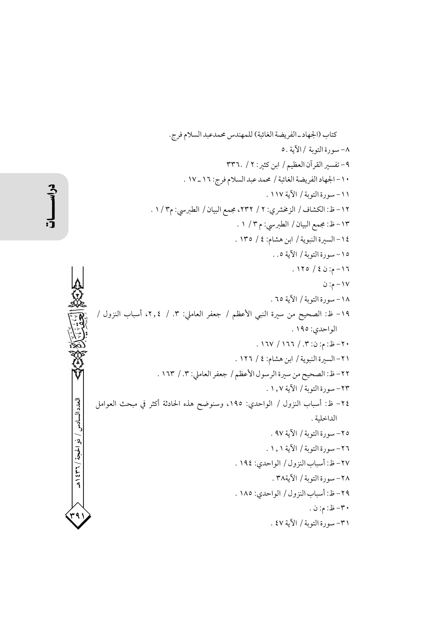دراسطات

 $.1/\mathcal{r}_1$ , ۲، أسباب النزول / العنزلا **CASSION** .<br>كثر في مبحث العوامل العدد السادس / ذو الحجة / ٣٦ / ٤٣٩ .<br>۳۹۱

٣١- سورة التوبة / الآية ٤٧ .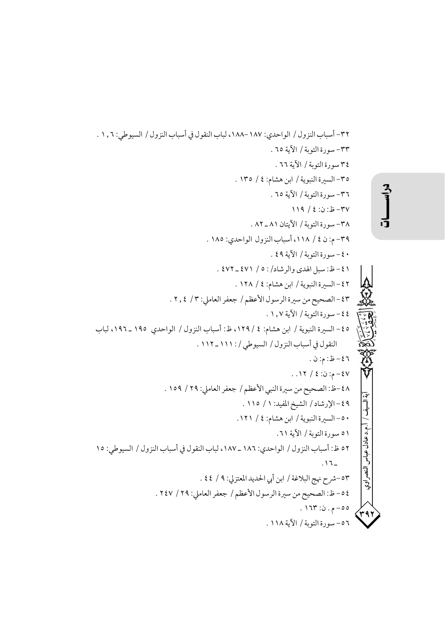$$
\sum_{i=1}^{n} a_i
$$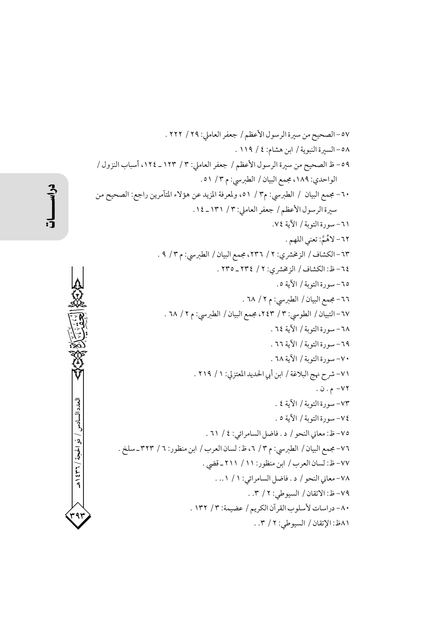دراسكت

美国教室 الكلم المحكم المعاديات العدد السادس / ذو الحجة / ٣٦٢ هـ ۴۹۲<br>م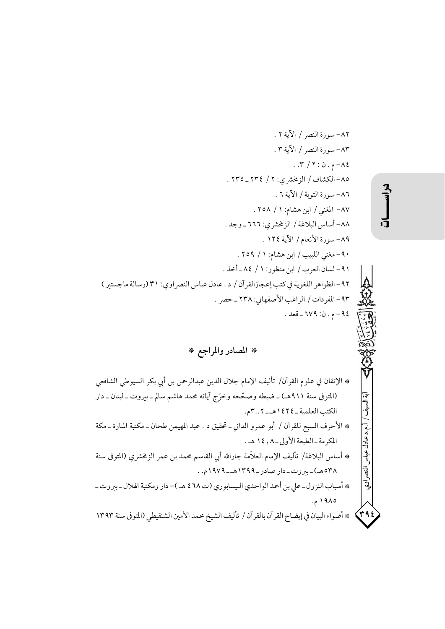\* المصادر والمراجع \*

\* الإتقان في علوم القرآن/ تأليف الإمام جلال الدين عبدالرحمن بن أبي بكر السيوطي الشافعي (المتوفي سنة ٩١١هـ) ـ ضبطه وصحَّحه وخرَّج آياته محمد هاشم سالم ـ بيروت ـ لبنان ـ دار آية السيف / أ.م.د عادل عباس النصر اوي الكتب العلمية \_ ١٤٢٤هـ \_ ٣.. ٣م. \* الأحرف السبع للقرآن / أبو عمرو الداني ــ تحقيق د . عبد المهيمن طحان ــ مكتبة المنارة ــ مكة المكرمة -الطبعة الأولى-٨, ١٤ هـ. \* أساس البلاغة/ تأليف الإمام العلاّمة جارالله أبي القاسم محمد بن عمر الزمخشري (المتوفى سنة ۴۸هه)-بیروت-دار صادر-۱۳۹۹هـ-۱۹۷۹م. . \* أسباب النزول ـ على بن أحمد الواحدي النيسابوري (ت ٤٦٨ هـ )- دار ومكتبة الهلال ـ بيروت ـ ۱۹۸۵ م. \* أضواء البيان في إيضاح القرآن بالقرآن / تأليف الشيخ محمد الأمين الشنقيطي (المتوفي سنة ١٣٩٣  $\left\langle r\right\rangle$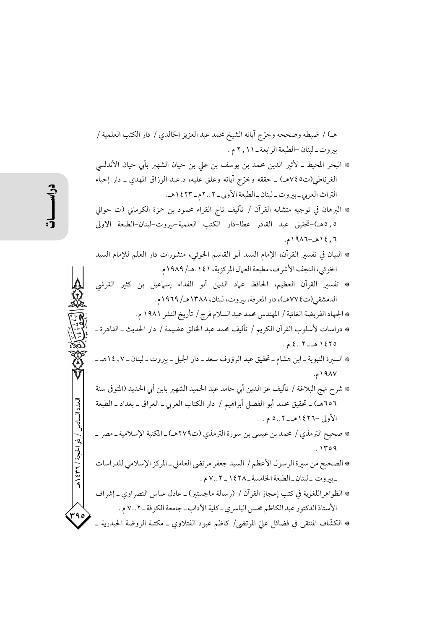العدد السادس / ذو الحيجة / ٣٦ / ٤٣٩

هـ) / ضبطه وصححه وخرّج آياته الشيخ محمد عبد العزيز الخالدي / دار الكتب العلمية / بيروت \_ لبنان -الطبعة الرابعة \_ ١١, ٢ م .

- \* البحر المحيط ـ لأثير الدين محمد بن يوسف بن على بن حيان الشهير بأبي حيان الأندلسي الغرناطي(ت٧٤٥هـ) ـ حققه وخرَّج آياته وعلق عليه، د.عبد الرزاق المهدى ـ دار إحياء التراث العربي - بيروت - لبنان - الطبعة الأولى - ٢..٢م - ١٤٢٣ هـ.
- \* الىرهان في توجيه متشابه القرآن / تأليف تاج القراء محمود بن حمزة الكرماني (ت حوالي ٥,٥هـ)-تحقيق عبد القادر عطا-دار الكتب العلمية-بيروت-لبنان-الطبعة الاولى ٦, ١٤هـ-١٩٨٦م.
- \* البيان في تفسير القرآن، الإمام السيد أبو القاسم الخوئي، منشورات دار العلم للإمام السيد الخوئي، النجف الأشرف، مطبعة العمال المركزية، ١٤١.هـ/ ١٩٨٩م.
- \* تفسير القرآن العظيم، الحافظ عماد الدين أبو الفداء إسهاعيل بن كثير القرشي الدمشقي (ت٧٧٤هـ)، دار المعرفة، بيروت، لبنان، ١٣٨٨هـ/ ١٩٦٩م.
	- \* الجهاد الفريضة الغائبة / المهندس محمد عبد السلام فرج / تأريخ النشر ١٩٨١ م.
- \* دراسات لأسلوب القرآن الكريم / تأليف محمد عبد الخالق عضيمة / دار الحديث ـ القاهرة ـ ١٤٢٥ هـ - ٤..٢ م.
- \* السيرة النبوية ـ ابن هشام ـ تحقيق عبد الرؤوف سعد ـ دار الجيل ـ بيروت ـ لبنان ـ ١٤,٧ هـ ـ ١٩٨٧م.
- \* شرح نهج البلاغة / تأليف عز الدين أبي حامد عبد الحميد الشهير بابن أبي الحديد (المتوفى سنة ٦٥٦هـ) ـ تحقيق محمد أبو الفضل أبراهيم / دار الكتاب العربي ـ العراق ـ بغداد ـ الطبعة الأولى –١٤٢٦هـــ ٥..٢ م .
- \* صحيح الترمذي / محمد بن عيسى بن سورة الترمذي (ت٢٧٩هـ) ـ المكتبة الإسلامية ـ مصر ـ  $.1409$
- \* الصحيح من سيرة الرسول الأعظم / السيد جعفر مرتضى العاملي ـ المركز الإسلامي للدراسات -بيروت -لبنان-الطبعة الخامسة-١٤٢٨- ٧..٢ م.
- \* الظواهراللغوية في كتب إعجاز القرآن / (رسالة ماجستير) ـ عادل عباس النصر اوي ـ إشراف الأستاذ الدكتور عبد الكاظم محسن الياسري ـ كلية الأداب ـ جامعة الكوفة ـ ٧..٢ م .
- ۳۹٥ \* الكشَّاف المنتقى في فضائل عليّ المرتضي/ كاظم عبود الفتلاوي ــ مكتبة الروضة الحيدرية ــ